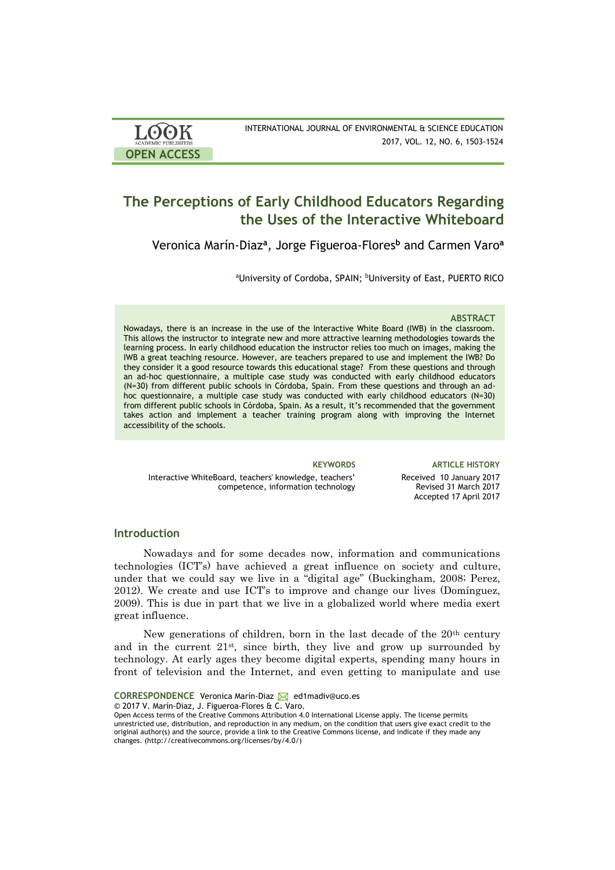| <b>LOOK</b>                | INTERNATIONAL JOURNAL OF ENVIRONMENTAL & SCIENCE EDUCATION |
|----------------------------|------------------------------------------------------------|
| <b>ACADEMIC PUBLISHERS</b> | 2017, VOL. 12, NO. 6, 1503-1524                            |
| <b>OPEN ACCESS</b>         |                                                            |

# **The Perceptions of Early Childhood Educators Regarding the Uses of the Interactive Whiteboard**

Veronica Marín-Diaz**<sup>a</sup>** , Jorge Figueroa-Flores**<sup>b</sup>** and Carmen Varo**<sup>a</sup>**

**<sup>a</sup>**University of Cordoba, SPAIN**; <sup>b</sup>**University of East, PUERTO RICO

#### **ABSTRACT**

Nowadays, there is an increase in the use of the Interactive White Board (IWB) in the classroom. This allows the instructor to integrate new and more attractive learning methodologies towards the learning process. In early childhood education the instructor relies too much on images, making the IWB a great teaching resource. However, are teachers prepared to use and implement the IWB? Do they consider it a good resource towards this educational stage? From these questions and through an ad-hoc questionnaire, a multiple case study was conducted with early childhood educators (N=30) from different public schools in Córdoba, Spain. From these questions and through an adhoc questionnaire, a multiple case study was conducted with early childhood educators (N=30) from different public schools in Córdoba, Spain. As a result, it's recommended that the government takes action and implement a teacher training program along with improving the Internet accessibility of the schools.

Interactive WhiteBoard, teachers' knowledge, teachers' competence, information technology

**KEYWORDS ARTICLE HISTORY** Received 10 January 2017 Revised 31 March 2017 Accepted 17 April 2017

#### **Introduction**

Nowadays and for some decades now, information and communications technologies (ICT's) have achieved a great influence on society and culture, under that we could say we live in a "digital age" (Buckingham, 2008; Perez, 2012). We create and use ICT's to improve and change our lives (Domínguez, 2009). This is due in part that we live in a globalized world where media exert great influence.

New generations of children, born in the last decade of the 20<sup>th</sup> century and in the current  $21<sup>st</sup>$ , since birth, they live and grow up surrounded by technology. At early ages they become digital experts, spending many hours in front of television and the Internet, and even getting to manipulate and use

**CORRESPONDENCE** Veronica Marín-Diaz **M** ed1madiv@uco.es

© 2017 V. Marín-Diaz, J. Figueroa-Flores & C. Varo.

Open Access terms of the Creative Commons Attribution 4.0 International License apply. The license permits unrestricted use, distribution, and reproduction in any medium, on the condition that users give exact credit to the original author(s) and the source, provide a link to the Creative Commons license, and indicate if they made any changes. (http://creativecommons.org/licenses/by/4.0/)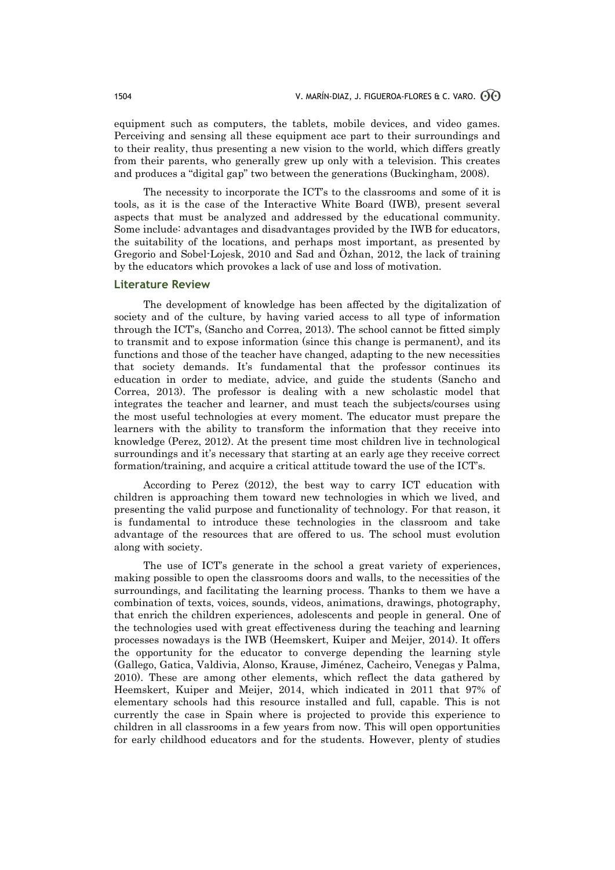equipment such as computers, the tablets, mobile devices, and video games. Perceiving and sensing all these equipment ace part to their surroundings and to their reality, thus presenting a new vision to the world, which differs greatly from their parents, who generally grew up only with a television. This creates and produces a "digital gap" two between the generations (Buckingham, 2008).

The necessity to incorporate the ICT's to the classrooms and some of it is tools, as it is the case of the Interactive White Board (IWB), present several aspects that must be analyzed and addressed by the educational community. Some include: advantages and disadvantages provided by the IWB for educators, the suitability of the locations, and perhaps most important, as presented by Gregorio and Sobel-Lojesk, 2010 and Sad and Özhan, 2012, the lack of training by the educators which provokes a lack of use and loss of motivation.

#### **Literature Review**

The development of knowledge has been affected by the digitalization of society and of the culture, by having varied access to all type of information through the ICT's, (Sancho and Correa, 2013). The school cannot be fitted simply to transmit and to expose information (since this change is permanent), and its functions and those of the teacher have changed, adapting to the new necessities that society demands. It's fundamental that the professor continues its education in order to mediate, advice, and guide the students (Sancho and Correa, 2013). The professor is dealing with a new scholastic model that integrates the teacher and learner, and must teach the subjects/courses using the most useful technologies at every moment. The educator must prepare the learners with the ability to transform the information that they receive into knowledge (Perez, 2012). At the present time most children live in technological surroundings and it's necessary that starting at an early age they receive correct formation/training, and acquire a critical attitude toward the use of the ICT's.

According to Perez (2012), the best way to carry ICT education with children is approaching them toward new technologies in which we lived, and presenting the valid purpose and functionality of technology. For that reason, it is fundamental to introduce these technologies in the classroom and take advantage of the resources that are offered to us. The school must evolution along with society.

The use of ICT's generate in the school a great variety of experiences, making possible to open the classrooms doors and walls, to the necessities of the surroundings, and facilitating the learning process. Thanks to them we have a combination of texts, voices, sounds, videos, animations, drawings, photography, that enrich the children experiences, adolescents and people in general. One of the technologies used with great effectiveness during the teaching and learning processes nowadays is the IWB (Heemskert, Kuiper and Meijer, 2014). It offers the opportunity for the educator to converge depending the learning style (Gallego, Gatica, Valdivia, Alonso, Krause, Jiménez, Cacheiro, Venegas y Palma, 2010). These are among other elements, which reflect the data gathered by Heemskert, Kuiper and Meijer, 2014, which indicated in 2011 that 97% of elementary schools had this resource installed and full, capable. This is not currently the case in Spain where is projected to provide this experience to children in all classrooms in a few years from now. This will open opportunities for early childhood educators and for the students. However, plenty of studies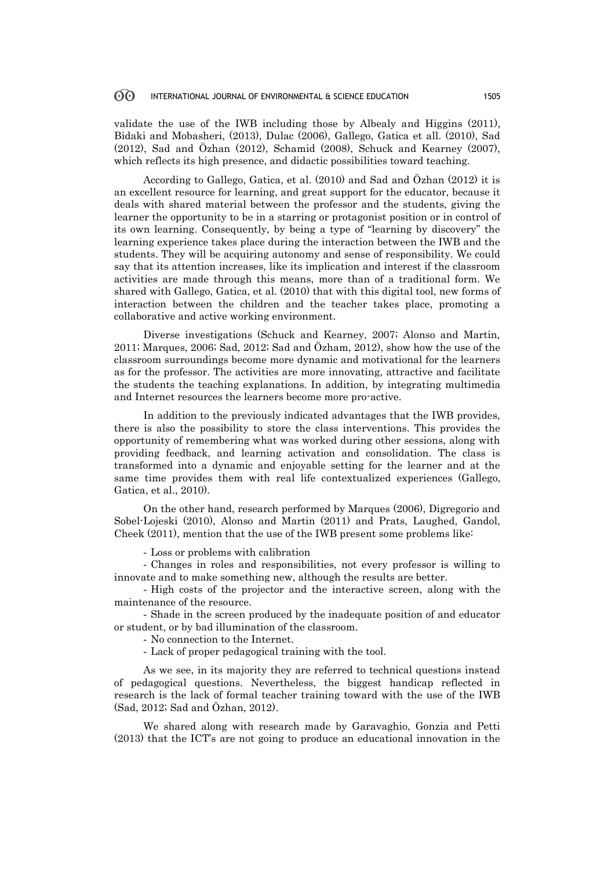#### 60 INTERNATIONAL JOURNAL OF ENVIRONMENTAL & SCIENCE EDUCATION 1505

validate the use of the IWB including those by Albealy and Higgins (2011), Bidaki and Mobasheri, (2013), Dulac (2006), Gallego, Gatica et all. (2010), Sad (2012), Sad and Özhan (2012), Schamid (2008), Schuck and Kearney (2007), which reflects its high presence, and didactic possibilities toward teaching.

According to Gallego, Gatica, et al. (2010) and Sad and Özhan (2012) it is an excellent resource for learning, and great support for the educator, because it deals with shared material between the professor and the students, giving the learner the opportunity to be in a starring or protagonist position or in control of its own learning. Consequently, by being a type of "learning by discovery" the learning experience takes place during the interaction between the IWB and the students. They will be acquiring autonomy and sense of responsibility. We could say that its attention increases, like its implication and interest if the classroom activities are made through this means, more than of a traditional form. We shared with Gallego, Gatica, et al. (2010) that with this digital tool, new forms of interaction between the children and the teacher takes place, promoting a collaborative and active working environment.

Diverse investigations (Schuck and Kearney, 2007; Alonso and Martin, 2011; Marques, 2006; Sad, 2012; Sad and Özham, 2012), show how the use of the classroom surroundings become more dynamic and motivational for the learners as for the professor. The activities are more innovating, attractive and facilitate the students the teaching explanations. In addition, by integrating multimedia and Internet resources the learners become more pro-active.

In addition to the previously indicated advantages that the IWB provides, there is also the possibility to store the class interventions. This provides the opportunity of remembering what was worked during other sessions, along with providing feedback, and learning activation and consolidation. The class is transformed into a dynamic and enjoyable setting for the learner and at the same time provides them with real life contextualized experiences (Gallego, Gatica, et al., 2010).

On the other hand, research performed by Marques (2006), Digregorio and Sobel-Lojeski (2010), Alonso and Martin (2011) and Prats, Laughed, Gandol, Cheek (2011), mention that the use of the IWB present some problems like:

- Loss or problems with calibration

- Changes in roles and responsibilities, not every professor is willing to innovate and to make something new, although the results are better.

- High costs of the projector and the interactive screen, along with the maintenance of the resource.

- Shade in the screen produced by the inadequate position of and educator or student, or by bad illumination of the classroom.

- No connection to the Internet.

- Lack of proper pedagogical training with the tool.

As we see, in its majority they are referred to technical questions instead of pedagogical questions. Nevertheless, the biggest handicap reflected in research is the lack of formal teacher training toward with the use of the IWB (Sad, 2012; Sad and Özhan, 2012).

We shared along with research made by Garavaghio, Gonzia and Petti (2013) that the ICT's are not going to produce an educational innovation in the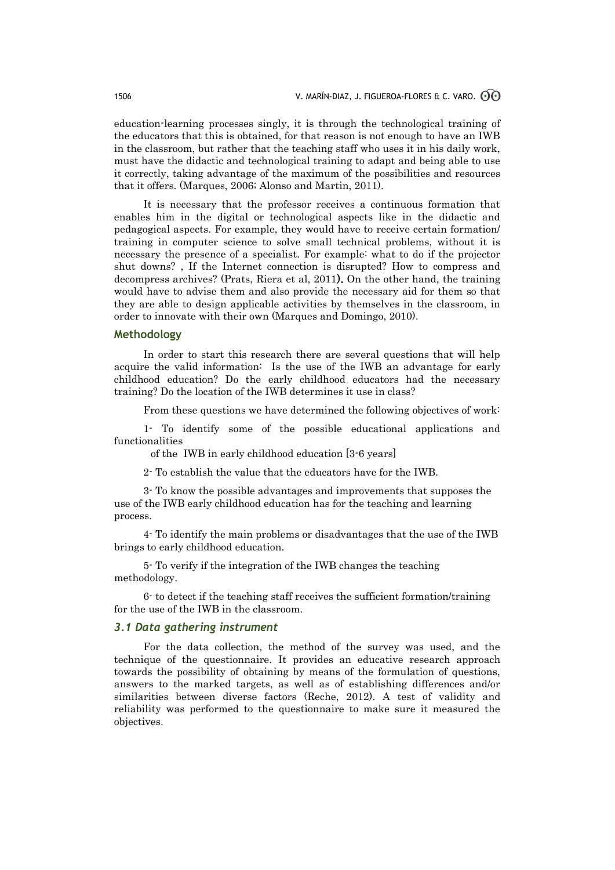education-learning processes singly, it is through the technological training of the educators that this is obtained, for that reason is not enough to have an IWB in the classroom, but rather that the teaching staff who uses it in his daily work, must have the didactic and technological training to adapt and being able to use it correctly, taking advantage of the maximum of the possibilities and resources that it offers. (Marques, 2006; Alonso and Martin, 2011).

It is necessary that the professor receives a continuous formation that enables him in the digital or technological aspects like in the didactic and pedagogical aspects. For example, they would have to receive certain formation/ training in computer science to solve small technical problems, without it is necessary the presence of a specialist. For example: what to do if the projector shut downs? , If the Internet connection is disrupted? How to compress and decompress archives? (Prats, Riera et al, 2011). On the other hand, the training would have to advise them and also provide the necessary aid for them so that they are able to design applicable activities by themselves in the classroom, in order to innovate with their own (Marques and Domingo, 2010).

#### **Methodology**

In order to start this research there are several questions that will help acquire the valid information: Is the use of the IWB an advantage for early childhood education? Do the early childhood educators had the necessary training? Do the location of the IWB determines it use in class?

From these questions we have determined the following objectives of work:

1- To identify some of the possible educational applications and functionalities

of the IWB in early childhood education [3-6 years]

2- To establish the value that the educators have for the IWB.

3- To know the possible advantages and improvements that supposes the use of the IWB early childhood education has for the teaching and learning process.

4- To identify the main problems or disadvantages that the use of the IWB brings to early childhood education.

5- To verify if the integration of the IWB changes the teaching methodology.

6- to detect if the teaching staff receives the sufficient formation/training for the use of the IWB in the classroom.

#### *3.1 Data gathering instrument*

For the data collection, the method of the survey was used, and the technique of the questionnaire. It provides an educative research approach towards the possibility of obtaining by means of the formulation of questions, answers to the marked targets, as well as of establishing differences and/or similarities between diverse factors (Reche, 2012). A test of validity and reliability was performed to the questionnaire to make sure it measured the objectives.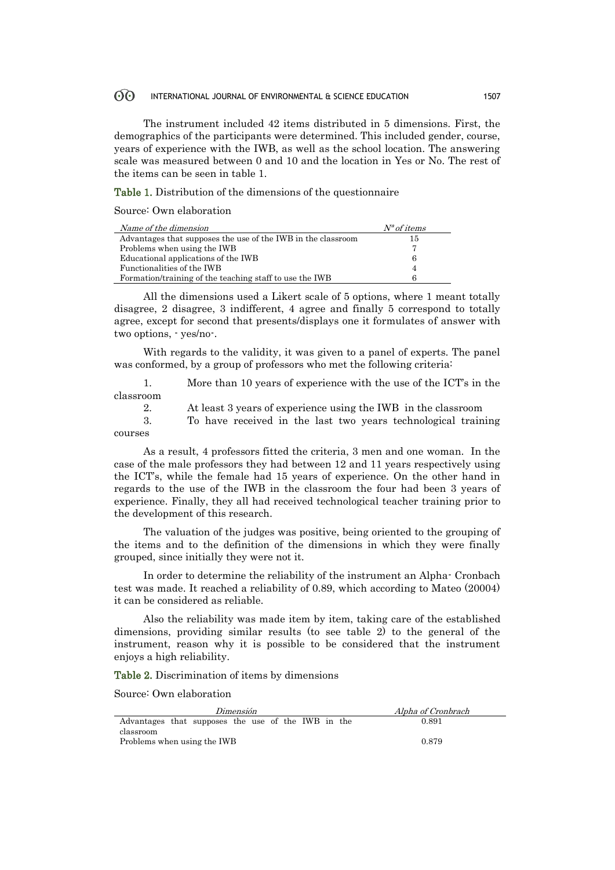#### $\odot$ INTERNATIONAL JOURNAL OF ENVIRONMENTAL & SCIENCE EDUCATION 1507

The instrument included 42 items distributed in 5 dimensions. First, the demographics of the participants were determined. This included gender, course, years of experience with the IWB, as well as the school location. The answering scale was measured between 0 and 10 and the location in Yes or No. The rest of the items can be seen in table 1.

Table 1. Distribution of the dimensions of the questionnaire

Source: Own elaboration

| Name of the dimension                                        | $N^a$ of items |
|--------------------------------------------------------------|----------------|
| Advantages that supposes the use of the IWB in the classroom | 15             |
| Problems when using the IWB                                  |                |
| Educational applications of the IWB                          | 6              |
| Functionalities of the IWB                                   |                |
| Formation/training of the teaching staff to use the IWB      |                |

All the dimensions used a Likert scale of 5 options, where 1 meant totally disagree, 2 disagree, 3 indifferent, 4 agree and finally 5 correspond to totally agree, except for second that presents/displays one it formulates of answer with two options, - yes/no-.

With regards to the validity, it was given to a panel of experts. The panel was conformed, by a group of professors who met the following criteria:

1. More than 10 years of experience with the use of the ICT's in the classroom

2. At least 3 years of experience using the IWB in the classroom

3. To have received in the last two years technological training courses

As a result, 4 professors fitted the criteria, 3 men and one woman. In the case of the male professors they had between 12 and 11 years respectively using the ICT's, while the female had 15 years of experience. On the other hand in regards to the use of the IWB in the classroom the four had been 3 years of experience. Finally, they all had received technological teacher training prior to the development of this research.

The valuation of the judges was positive, being oriented to the grouping of the items and to the definition of the dimensions in which they were finally grouped, since initially they were not it.

In order to determine the reliability of the instrument an Alpha- Cronbach test was made. It reached a reliability of 0.89, which according to Mateo (20004) it can be considered as reliable.

Also the reliability was made item by item, taking care of the established dimensions, providing similar results (to see table 2) to the general of the instrument, reason why it is possible to be considered that the instrument enjoys a high reliability.

Table 2. Discrimination of items by dimensions

Source: Own elaboration

| Dimensión                                          | Alpha of Cronbrach |
|----------------------------------------------------|--------------------|
| Advantages that supposes the use of the IWB in the | 0.891              |
| classroom<br>Problems when using the IWB           | 0.879              |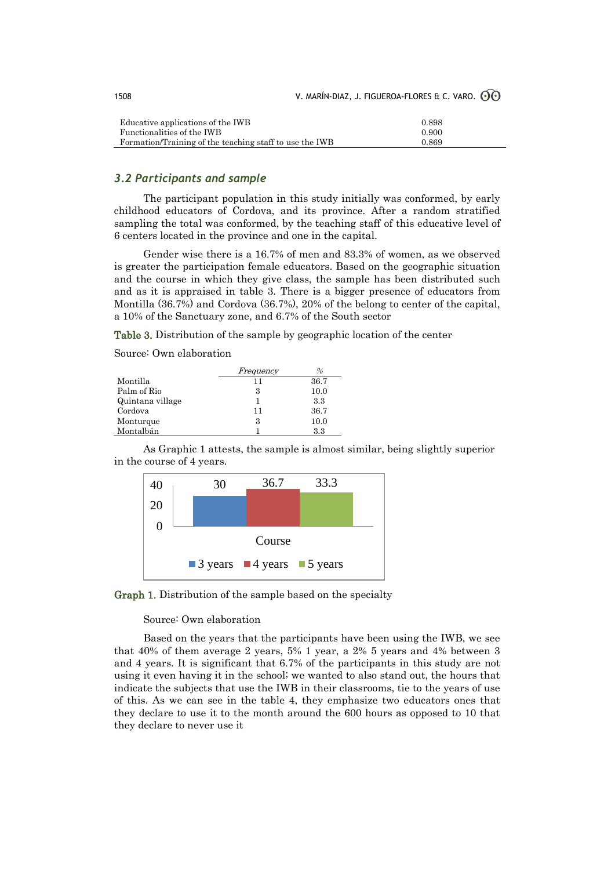| Educative applications of the IWB                       | 0.898 |
|---------------------------------------------------------|-------|
| Functionalities of the IWB                              | 0.900 |
| Formation/Training of the teaching staff to use the IWB | 0.869 |

### *3.2 Participants and sample*

The participant population in this study initially was conformed, by early childhood educators of Cordova, and its province. After a random stratified sampling the total was conformed, by the teaching staff of this educative level of 6 centers located in the province and one in the capital.

Gender wise there is a 16.7% of men and 83.3% of women, as we observed is greater the participation female educators. Based on the geographic situation and the course in which they give class, the sample has been distributed such and as it is appraised in table 3. There is a bigger presence of educators from Montilla (36.7%) and Cordova (36.7%), 20% of the belong to center of the capital, a 10% of the Sanctuary zone, and 6.7% of the South sector

Table 3. Distribution of the sample by geographic location of the center

Source: Own elaboration

|                  | Frequency | %    |
|------------------|-----------|------|
| Montilla         | 11        | 36.7 |
| Palm of Rio      | 3         | 10.0 |
| Quintana village |           | 3.3  |
| Cordova          | 11        | 36.7 |
| Monturque        | 3         | 10.0 |
| Montalbán        |           | 3.3  |

As Graphic 1 attests, the sample is almost similar, being slightly superior in the course of 4 years.



Graph 1. Distribution of the sample based on the specialty

Source: Own elaboration

Based on the years that the participants have been using the IWB, we see that 40% of them average 2 years, 5% 1 year, a 2% 5 years and 4% between 3 and 4 years. It is significant that 6.7% of the participants in this study are not using it even having it in the school; we wanted to also stand out, the hours that indicate the subjects that use the IWB in their classrooms, tie to the years of use of this. As we can see in the table 4, they emphasize two educators ones that they declare to use it to the month around the 600 hours as opposed to 10 that they declare to never use it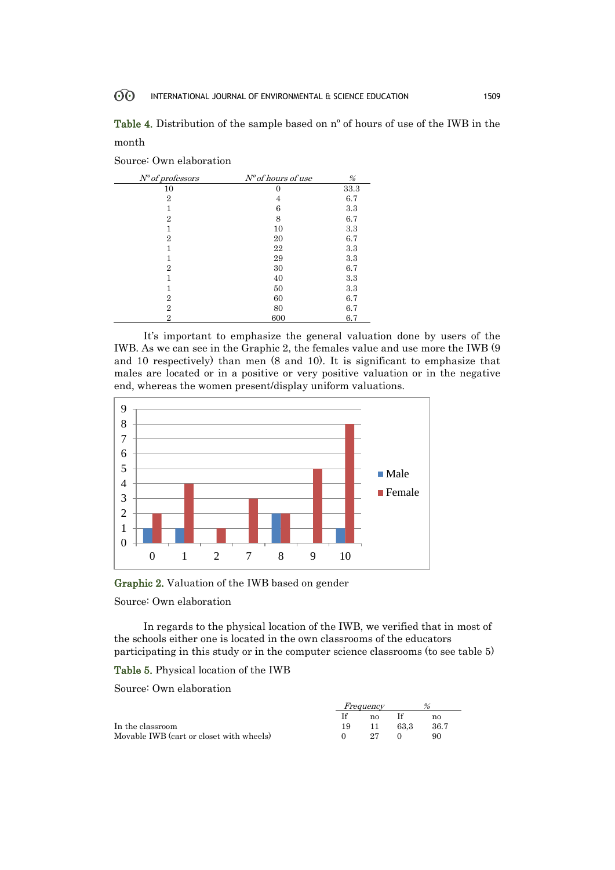Table 4. Distribution of the sample based on nº of hours of use of the IWB in the month

|  |  | Source: Own elaboration |
|--|--|-------------------------|
|--|--|-------------------------|

| $N^o$ of professors | $N^o$ of hours of use | %    |
|---------------------|-----------------------|------|
| 10                  | $\mathbf{0}$          | 33.3 |
| $\overline{2}$      | 4                     | 6.7  |
| 1                   | 6                     | 3.3  |
| $\overline{2}$      | 8                     | 6.7  |
| 1                   | 10                    | 3.3  |
| $\overline{2}$      | 20                    | 6.7  |
|                     | 22                    | 3.3  |
|                     | 29                    | 3.3  |
| 2                   | 30                    | 6.7  |
|                     | 40                    | 3.3  |
|                     | 50                    | 3.3  |
| 2                   | 60                    | 6.7  |
| 2                   | 80                    | 6.7  |
| 2                   | 600                   | 6.7  |

It's important to emphasize the general valuation done by users of the IWB. As we can see in the Graphic 2, the females value and use more the IWB (9 and 10 respectively) than men (8 and 10). It is significant to emphasize that males are located or in a positive or very positive valuation or in the negative end, whereas the women present/display uniform valuations.



Graphic 2. Valuation of the IWB based on gender

Source: Own elaboration

In regards to the physical location of the IWB, we verified that in most of the schools either one is located in the own classrooms of the educators participating in this study or in the computer science classrooms (to see table 5)

#### Table 5. Physical location of the IWB

Source: Own elaboration

|                                          | Frequency | %  |      |       |
|------------------------------------------|-----------|----|------|-------|
|                                          |           | no |      | no    |
| In the classroom                         |           |    | 63.3 | -36.7 |
| Movable IWB (cart or closet with wheels) |           | 97 |      | 90    |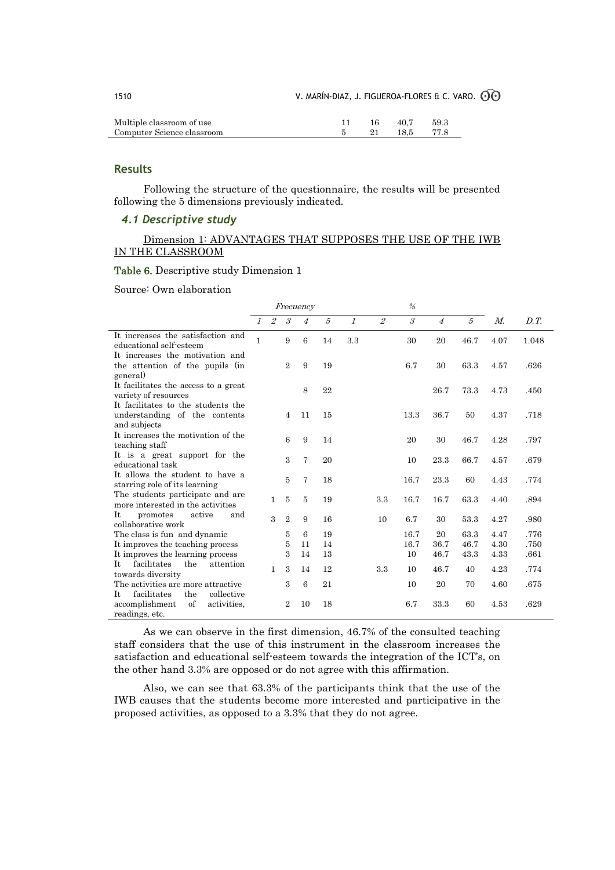| 1510                       |     |      | V. MARÍN-DIAZ, J. FIGUEROA-FLORES & C. VARO. $\odot$ C) |
|----------------------------|-----|------|---------------------------------------------------------|
| Multiple classroom of use  | 16. | 40.7 | 59.3                                                    |
| Computer Science classroom | 21  | 18 5 | 77.8                                                    |

 $\rightsquigarrow$ 

## **Results**

Following the structure of the questionnaire, the results will be presented following the 5 dimensions previously indicated.

### *4.1 Descriptive study*

### Dimension 1: ADVANTAGES THAT SUPPOSES THE USE OF THE IWB IN THE CLASSROOM

### Table 6. Descriptive study Dimension 1

Source: Own elaboration

|                                                                                                      | Frecuency     |                |                             |                | %                |               |                |                             |                    |                      |                      |                      |
|------------------------------------------------------------------------------------------------------|---------------|----------------|-----------------------------|----------------|------------------|---------------|----------------|-----------------------------|--------------------|----------------------|----------------------|----------------------|
|                                                                                                      | $\mathcal{I}$ | $\overline{2}$ | $\mathcal{S}_{\mathcal{S}}$ | $\overline{4}$ | $\tilde{\sigma}$ | $\mathcal{I}$ | $\overline{2}$ | $\mathcal{S}_{\mathcal{S}}$ | $\overline{4}$     | $\tilde{\sigma}$     | $M_{\cdot}$          | D.T.                 |
| It increases the satisfaction and<br>educational self-esteem                                         | 1             |                | 9                           | 6              | 14               | 3.3           |                | 30                          | 20                 | 46.7                 | 4.07                 | 1.048                |
| It increases the motivation and<br>the attention of the pupils (in<br>general)                       |               |                | $\mathbf{2}$                | 9              | 19               |               |                | 6.7                         | 30                 | 63.3                 | 4.57                 | .626                 |
| It facilitates the access to a great<br>variety of resources                                         |               |                |                             | 8              | 22               |               |                |                             | 26.7               | 73.3                 | 4.73                 | .450                 |
| It facilitates to the students the<br>understanding of the contents<br>and subjects                  |               |                | $\overline{4}$              | 11             | 15               |               |                | 13.3                        | 36.7               | 50                   | 4.37                 | .718                 |
| It increases the motivation of the<br>teaching staff                                                 |               |                | 6                           | 9              | 14               |               |                | 20                          | 30                 | 46.7                 | 4.28                 | .797                 |
| It is a great support for the<br>educational task                                                    |               |                | 3                           | 7              | 20               |               |                | 10                          | 23.3               | 66.7                 | 4.57                 | .679                 |
| It allows the student to have a<br>starring role of its learning                                     |               |                | 5                           | 7              | 18               |               |                | 16.7                        | 23.3               | 60                   | 4.43                 | .774                 |
| The students participate and are.<br>more interested in the activities                               |               | $\mathbf{1}$   | 5                           | 5              | 19               |               | 3.3            | 16.7                        | 16.7               | 63.3                 | 4.40                 | .894                 |
| It<br>active<br>promotes<br>and<br>collaborative work                                                |               | $\mathbf{a}$   | $\overline{2}$              | 9              | 16               |               | 10             | 6.7                         | 30                 | 53.3                 | 4.27                 | .980                 |
| The class is fun and dynamic<br>It improves the teaching process<br>It improves the learning process |               |                | 5<br>5<br>3                 | 6<br>11<br>14  | 19<br>14<br>13   |               |                | 16.7<br>16.7<br>10          | 20<br>36.7<br>46.7 | 63.3<br>46.7<br>43.3 | 4.47<br>4.30<br>4.33 | .776<br>.750<br>.661 |
| Tt.<br>facilitates<br>the<br>attention<br>towards diversity                                          |               | $\mathbf{1}$   | 3                           | 14             | 12               |               | 3.3            | 10                          | 46.7               | 40                   | 4.23                 | .774                 |
| The activities are more attractive<br>facilitates<br>collective<br>Tt.<br>the                        |               |                | 3                           | 6              | 21               |               |                | 10                          | 20                 | 70                   | 4.60                 | .675                 |
| accomplishment<br>of<br>activities.<br>readings, etc.                                                |               |                | $\overline{2}$              | 10             | 18               |               |                | 6.7                         | 33.3               | 60                   | 4.53                 | .629                 |

As we can observe in the first dimension, 46.7% of the consulted teaching staff considers that the use of this instrument in the classroom increases the satisfaction and educational self-esteem towards the integration of the ICT's, on the other hand 3.3% are opposed or do not agree with this affirmation.

Also, we can see that 63.3% of the participants think that the use of the IWB causes that the students become more interested and participative in the proposed activities, as opposed to a 3.3% that they do not agree.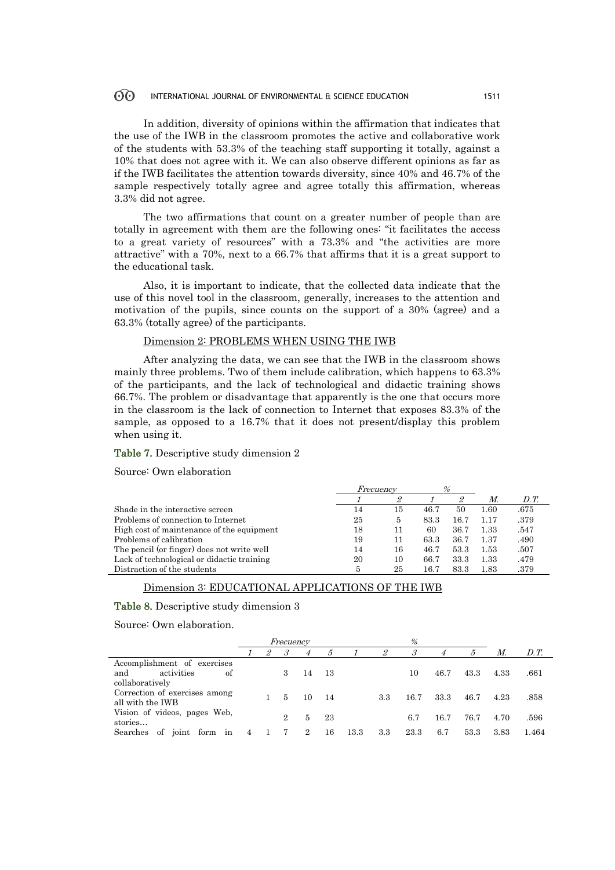#### $\odot$ INTERNATIONAL JOURNAL OF ENVIRONMENTAL & SCIENCE EDUCATION 1511

In addition, diversity of opinions within the affirmation that indicates that the use of the IWB in the classroom promotes the active and collaborative work of the students with 53.3% of the teaching staff supporting it totally, against a 10% that does not agree with it. We can also observe different opinions as far as if the IWB facilitates the attention towards diversity, since 40% and 46.7% of the sample respectively totally agree and agree totally this affirmation, whereas 3.3% did not agree.

The two affirmations that count on a greater number of people than are totally in agreement with them are the following ones: "it facilitates the access to a great variety of resources" with a 73.3% and "the activities are more attractive" with a 70%, next to a 66.7% that affirms that it is a great support to the educational task.

Also, it is important to indicate, that the collected data indicate that the use of this novel tool in the classroom, generally, increases to the attention and motivation of the pupils, since counts on the support of a 30% (agree) and a 63.3% (totally agree) of the participants.

#### Dimension 2: PROBLEMS WHEN USING THE IWB

After analyzing the data, we can see that the IWB in the classroom shows mainly three problems. Two of them include calibration, which happens to 63.3% of the participants, and the lack of technological and didactic training shows 66.7%. The problem or disadvantage that apparently is the one that occurs more in the classroom is the lack of connection to Internet that exposes 83.3% of the sample, as opposed to a 16.7% that it does not present/display this problem when using it.

#### Table 7. Descriptive study dimension 2

Source: Own elaboration

|                                            | <i>Frecuency</i> |    | %    |      |      |      |
|--------------------------------------------|------------------|----|------|------|------|------|
|                                            |                  |    |      | 2    | M.   | D.T. |
| Shade in the interactive screen            | 14               | 15 | 46.7 | 50   | 1.60 | .675 |
| Problems of connection to Internet         | 25               | 5  | 83.3 | 16.7 | 1.17 | .379 |
| High cost of maintenance of the equipment  | 18               | 11 | 60   | 36.7 | 1.33 | .547 |
| Problems of calibration                    | 19               | 11 | 63.3 | 36.7 | 1.37 | .490 |
| The pencil (or finger) does not write well | 14               | 16 | 46.7 | 53.3 | 1.53 | .507 |
| Lack of technological or didactic training | 20               | 10 | 66.7 | 33.3 | 1.33 | .479 |
| Distraction of the students                | 5                | 25 | 16.7 | 83.3 | 1.83 | .379 |

#### Dimension 3: EDUCATIONAL APPLICATIONS OF THE IWB

#### Table 8. Descriptive study dimension 3

Source: Own elaboration.

|                                       | Frecuency |                |         |                |     | %    |     |                      |      |      |      |       |
|---------------------------------------|-----------|----------------|---------|----------------|-----|------|-----|----------------------|------|------|------|-------|
|                                       |           | $\overline{2}$ | $\beta$ | 4              | 5   |      | 2   | $\boldsymbol{\beta}$ | 4    | 5    | М.   | D.T.  |
| Accomplishment of exercises           |           |                |         |                |     |      |     |                      |      |      |      |       |
| activities<br>of<br>and               |           |                | 3       | 14             | 13  |      |     | 10                   | 46.7 | 43.3 | 4.33 | .661  |
| collaboratively                       |           |                |         |                |     |      |     |                      |      |      |      |       |
| Correction of exercises among         |           |                | 5       | 10             | -14 |      | 3.3 | 16.7                 | 33.3 | 46.7 | 4.23 | .858  |
| all with the IWB                      |           |                |         |                |     |      |     |                      |      |      |      |       |
| Vision of videos, pages Web,          |           |                | 2       | 5              | 23  |      |     | 6.7                  | 16.7 | 76.7 | 4.70 | .596  |
| stories                               |           |                |         |                |     |      |     |                      |      |      |      |       |
| form<br>in<br>οf<br>Searches<br>joint |           |                |         | $\overline{2}$ | 16  | 13.3 | 3.3 | 23.3                 | 6.7  | 53.3 | 3.83 | 1.464 |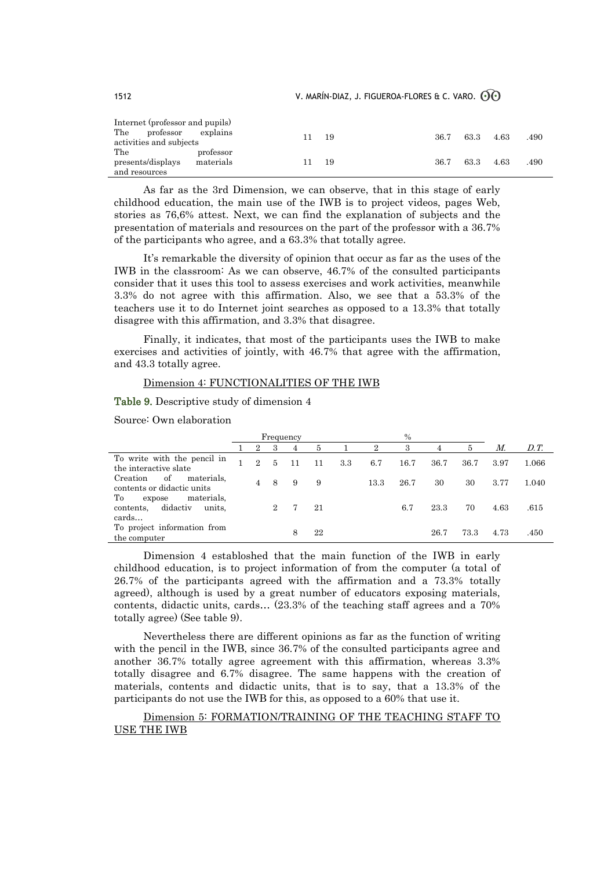| 1512 |  | V. MARÍN-DIAZ, J. FIGUEROA-FLORES & C. VARO. $\odot$ O |  |
|------|--|--------------------------------------------------------|--|
|------|--|--------------------------------------------------------|--|

| Internet (professor and pupils)   |           |    |      |      |      |      |      |
|-----------------------------------|-----------|----|------|------|------|------|------|
| The<br>$\operatorname{professor}$ | explains  | 11 | - 19 | 36.7 | 63.3 | 4.63 | .490 |
| activities and subjects           |           |    |      |      |      |      |      |
| The                               | professor |    |      |      |      |      |      |
| presents/displays                 | materials | 11 | 19   | 36.7 | 63.3 | 4.63 | .490 |
| and resources                     |           |    |      |      |      |      |      |

As far as the 3rd Dimension, we can observe, that in this stage of early childhood education, the main use of the IWB is to project videos, pages Web, stories as 76,6% attest. Next, we can find the explanation of subjects and the presentation of materials and resources on the part of the professor with a 36.7% of the participants who agree, and a 63.3% that totally agree.

It's remarkable the diversity of opinion that occur as far as the uses of the IWB in the classroom: As we can observe, 46.7% of the consulted participants consider that it uses this tool to assess exercises and work activities, meanwhile 3.3% do not agree with this affirmation. Also, we see that a 53.3% of the teachers use it to do Internet joint searches as opposed to a 13.3% that totally disagree with this affirmation, and 3.3% that disagree.

Finally, it indicates, that most of the participants uses the IWB to make exercises and activities of jointly, with 46.7% that agree with the affirmation, and 43.3 totally agree.

#### Dimension 4: FUNCTIONALITIES OF THE IWB

Table 9. Descriptive study of dimension 4

Source: Own elaboration

|                                                                        | Frequency      |   |   |    |     | $\%$           |      |      |      |      |                      |
|------------------------------------------------------------------------|----------------|---|---|----|-----|----------------|------|------|------|------|----------------------|
|                                                                        | 2              | 3 | 4 | 5  |     | $\overline{2}$ | 3    |      | 5    | М.   | $D_{\cdot}T_{\cdot}$ |
| To write with the pencil in<br>the interactive slate                   | $\overline{2}$ | 5 |   | 11 | 3.3 | 6.7            | 16.7 | 36.7 | 36.7 | 3.97 | 1.066                |
| of<br>materials.<br>Creation<br>contents or didactic units             |                | 8 | 9 | 9  |     | 13.3           | 26.7 | 30   | 30   | 3.77 | 1.040                |
| materials.<br>Tо<br>expose<br>didactiv<br>units.<br>contents,<br>cards |                |   |   | 21 |     |                | 6.7  | 23.3 | 70   | 4.63 | .615                 |
| To project information from<br>the computer                            |                |   |   | 22 |     |                |      | 26.7 | 73.3 | 4.73 | .450                 |

Dimension 4 establoshed that the main function of the IWB in early childhood education, is to project information of from the computer (a total of 26.7% of the participants agreed with the affirmation and a 73.3% totally agreed), although is used by a great number of educators exposing materials, contents, didactic units, cards… (23.3% of the teaching staff agrees and a 70% totally agree) (See table 9).

Nevertheless there are different opinions as far as the function of writing with the pencil in the IWB, since 36.7% of the consulted participants agree and another 36.7% totally agree agreement with this affirmation, whereas 3.3% totally disagree and 6.7% disagree. The same happens with the creation of materials, contents and didactic units, that is to say, that a 13.3% of the participants do not use the IWB for this, as opposed to a 60% that use it.

Dimension 5: FORMATION/TRAINING OF THE TEACHING STAFF TO USE THE IWB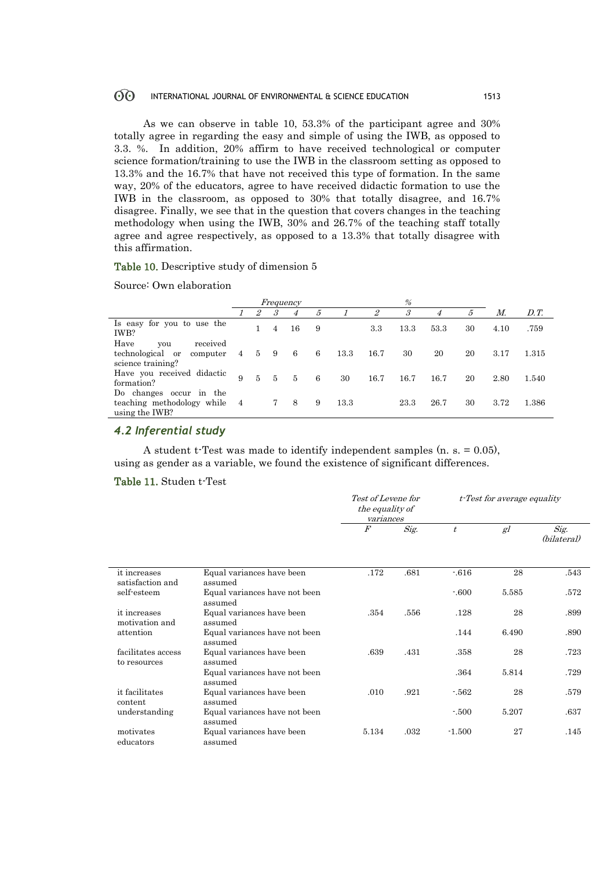#### $\odot$ INTERNATIONAL JOURNAL OF ENVIRONMENTAL & SCIENCE EDUCATION 1513

As we can observe in table 10, 53.3% of the participant agree and 30% totally agree in regarding the easy and simple of using the IWB, as opposed to 3.3. %. In addition, 20% affirm to have received technological or computer science formation/training to use the IWB in the classroom setting as opposed to 13.3% and the 16.7% that have not received this type of formation. In the same way, 20% of the educators, agree to have received didactic formation to use the IWB in the classroom, as opposed to 30% that totally disagree, and 16.7% disagree. Finally, we see that in the question that covers changes in the teaching methodology when using the IWB, 30% and 26.7% of the teaching staff totally agree and agree respectively, as opposed to a 13.3% that totally disagree with this affirmation.

#### Table 10. Descriptive study of dimension 5

#### Source: Own elaboration

|                                                                              |             | Frequency      |                      |    |   |      | %       |      |                |    |      |       |
|------------------------------------------------------------------------------|-------------|----------------|----------------------|----|---|------|---------|------|----------------|----|------|-------|
|                                                                              |             | $\overline{2}$ | $\boldsymbol{\beta}$ | 4  | 5 |      | 2       | 3    | $\overline{4}$ | 5  | М.   | D.T.  |
| Is easy for you to use the<br>IWB?                                           |             |                | $\overline{4}$       | 16 | 9 |      | $3.3\,$ | 13.3 | 53.3           | 30 | 4.10 | .759  |
| Have<br>received<br>you<br>technological or<br>computer<br>science training? | $4^{\circ}$ | $5\degree$     | -9                   | -6 | 6 | 13.3 | 16.7    | 30   | 20             | 20 | 3.17 | 1.315 |
| Have you received didactic<br>formation?                                     | 9           | $\frac{5}{2}$  | 5                    | 5  | 6 | 30   | 16.7    | 16.7 | 16.7           | 20 | 2.80 | 1.540 |
| Do changes occur in the<br>teaching methodology while<br>using the IWB?      | 4           |                |                      | 8  | 9 | 13.3 |         | 23.3 | 26.7           | 30 | 3.72 | 1.386 |

## *4.2 Inferential study*

A student t-Test was made to identify independent samples (n. s. = 0.05), using as gender as a variable, we found the existence of significant differences.

#### Table 11. Studen t-Test

|                                    |                                          | <i>Test of Levene for</i><br>the equality of<br>variances |      |           | t-Test for average equality |                     |
|------------------------------------|------------------------------------------|-----------------------------------------------------------|------|-----------|-----------------------------|---------------------|
|                                    |                                          | $\cal F$                                                  | Sig. | $\dot{t}$ | gl                          | Sig.<br>(bilateral) |
| it increases<br>satisfaction and   | Equal variances have been<br>assumed     | .172                                                      | .681 | $-616$    | 28                          | .543                |
| self-esteem                        | Equal variances have not been<br>assumed |                                                           |      | $-600$    | 5.585                       | .572                |
| it increases<br>motivation and     | Equal variances have been<br>assumed     | .354                                                      | .556 | .128      | 28                          | .899                |
| attention                          | Equal variances have not been<br>assumed |                                                           |      | .144      | 6.490                       | .890                |
| facilitates access<br>to resources | Equal variances have been<br>assumed     | .639                                                      | .431 | .358      | 28                          | .723                |
|                                    | Equal variances have not been<br>assumed |                                                           |      | .364      | 5.814                       | .729                |
| it facilitates<br>content          | Equal variances have been<br>assumed     | .010                                                      | .921 | $-562$    | 28                          | .579                |
| understanding                      | Equal variances have not been<br>assumed |                                                           |      | $-500$    | 5.207                       | .637                |
| motivates<br>educators             | Equal variances have been<br>assumed     | 5.134                                                     | .032 | $-1.500$  | 27                          | .145                |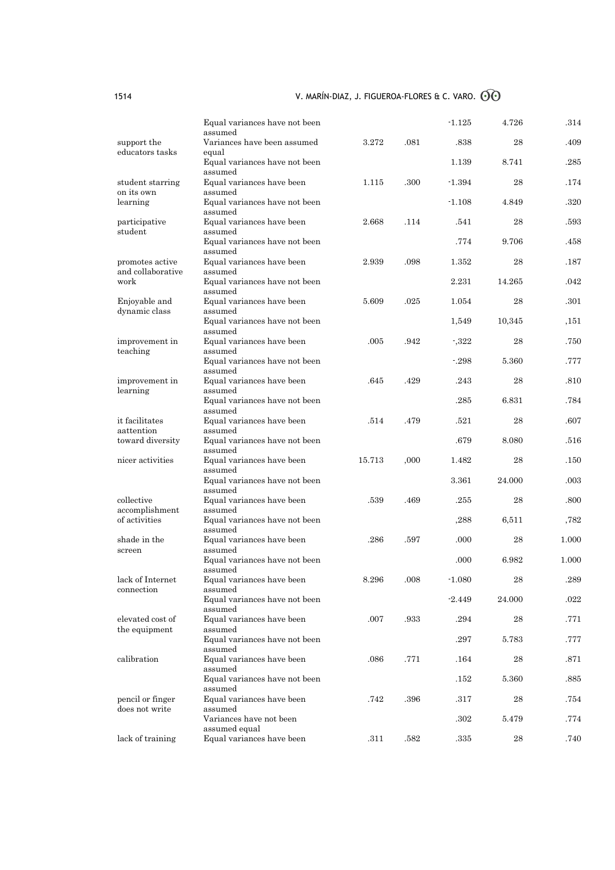|                                      | Equal variances have not been<br>assumed            |        |      | $-1.125$ | 4.726      | .314  |
|--------------------------------------|-----------------------------------------------------|--------|------|----------|------------|-------|
| support the<br>educators tasks       | Variances have been assumed                         | 3.272  | .081 | .838     | 28         | .409  |
|                                      | equal<br>Equal variances have not been<br>assumed   |        |      | 1.139    | 8.741      | .285  |
| student starring<br>on its own       | Equal variances have been<br>assumed                | 1.115  | .300 | $-1.394$ | 28         | .174  |
| learning                             | Equal variances have not been<br>assumed            |        |      | $-1.108$ | 4.849      | .320  |
| participative<br>student             | Equal variances have been<br>assumed                | 2.668  | .114 | .541     | 28         | .593  |
|                                      | Equal variances have not been<br>assumed            |        |      | .774     | 9.706      | .458  |
| promotes active<br>and collaborative | Equal variances have been<br>assumed                | 2.939  | .098 | 1.352    | 28         | .187  |
| work                                 | Equal variances have not been<br>assumed            |        |      | 2.231    | 14.265     | .042  |
| Enjoyable and<br>dynamic class       | Equal variances have been<br>assumed                | 5.609  | .025 | 1.054    | 28         | .301  |
|                                      | Equal variances have not been<br>assumed            |        |      | 1,549    | 10,345     | ,151  |
| improvement in<br>teaching           | Equal variances have been<br>assumed                | .005   | .942 | $-322$   | 28         | .750  |
|                                      | Equal variances have not been<br>assumed            |        |      | $-298$   | 5.360      | .777  |
| improvement in<br>learning           | Equal variances have been<br>assumed                | .645   | .429 | .243     | 28         | .810  |
|                                      | Equal variances have not been<br>assumed            |        |      | .285     | 6.831      | .784  |
| it facilitates                       | Equal variances have been                           | .514   | .479 | .521     | 28         | .607  |
| aattention<br>toward diversity       | assumed<br>Equal variances have not been            |        |      | .679     | 8.080      | .516  |
| nicer activities                     | assumed<br>Equal variances have been                | 15.713 | ,000 | 1.482    | 28         | .150  |
|                                      | assumed<br>Equal variances have not been<br>assumed |        |      | 3.361    | 24.000     | .003  |
| collective<br>accomplishment         | Equal variances have been<br>assumed                | .539   | .469 | .255     | 28         | .800  |
| of activities                        | Equal variances have not been<br>assumed            |        |      | ,288     | 6,511      | ,782  |
| shade in the<br>screen               | Equal variances have been<br>assumed                | .286   | .597 | .000     | 28         | 1.000 |
|                                      | Equal variances have not been<br>assumed            |        |      | .000     | 6.982      | 1.000 |
| lack of Internet<br>connection       | Equal variances have been                           | 8.296  | .008 | $-1.080$ | 28         | .289  |
|                                      | assumed<br>Equal variances have not been<br>assumed |        |      | $-2.449$ | 24.000     | .022  |
| elevated cost of<br>the equipment    | Equal variances have been<br>assumed                | .007   | .933 | .294     | 28         | .771  |
|                                      | Equal variances have not been<br>assumed            |        |      | .297     | 5.783      | .777  |
| calibration                          | Equal variances have been<br>assumed                | .086   | .771 | .164     | 28         | .871  |
|                                      | Equal variances have not been<br>assumed            |        |      | .152     | 5.360      | .885  |
| pencil or finger<br>does not write   | Equal variances have been<br>assumed                | .742   | .396 | .317     | 28         | .754  |
|                                      | Variances have not been<br>assumed equal            |        |      | .302     | 5.479      | .774  |
| lack of training                     | Equal variances have been                           | .311   | .582 | $.335\,$ | ${\bf 28}$ | .740  |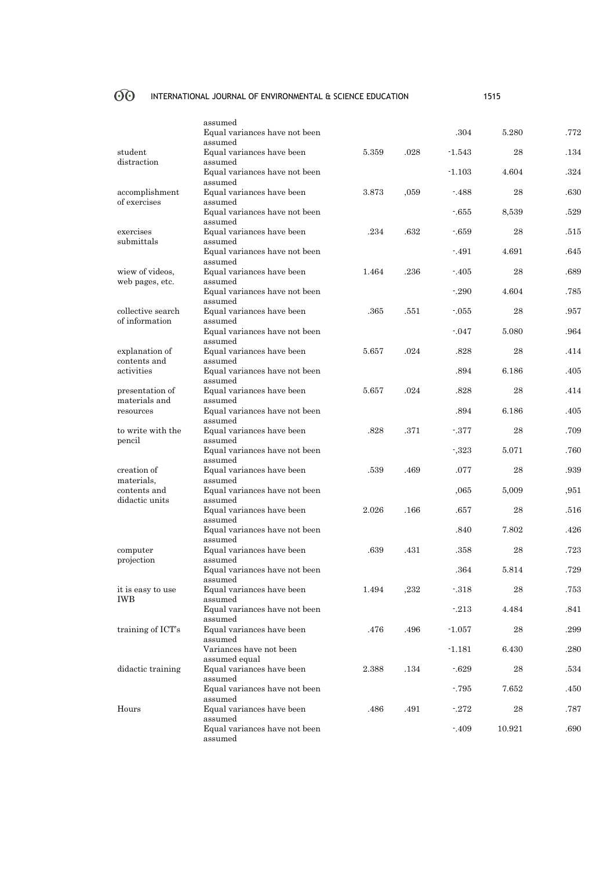# OO INTERNATIONAL JOURNAL OF ENVIRONMENTAL & SCIENCE EDUCATION 1515

|                                  | assumed                                  |       |      |          |          |          |
|----------------------------------|------------------------------------------|-------|------|----------|----------|----------|
|                                  | Equal variances have not been            |       |      | .304     | 5.280    | .772     |
| student                          | assumed<br>Equal variances have been     | 5.359 | .028 | $-1.543$ | 28       | .134     |
| distraction                      | assumed<br>Equal variances have not been |       |      | $-1.103$ | 4.604    | .324     |
|                                  | assumed                                  |       |      |          |          |          |
| accomplishment                   | Equal variances have been                | 3.873 | .059 | $-488$   | 28       | $.630\,$ |
| of exercises                     | assumed<br>Equal variances have not been |       |      | -.655    | 8,539    | .529     |
|                                  | assumed<br>Equal variances have been     |       |      |          |          |          |
| exercises<br>submittals          | assumed                                  | .234  | .632 | $-659$   | 28       | .515     |
|                                  | Equal variances have not been<br>assumed |       |      | $-491$   | 4.691    | .645     |
| wiew of videos,                  | Equal variances have been                | 1.464 | .236 | $-405$   | 28       | .689     |
| web pages, etc.                  | assumed                                  |       |      |          |          |          |
|                                  | Equal variances have not been<br>assumed |       |      | $-290$   | 4.604    | .785     |
| collective search                | Equal variances have been                | .365  | .551 | $-055$   | 28       | .957     |
| of information                   | assumed                                  |       |      |          |          |          |
|                                  | Equal variances have not been<br>assumed |       |      | $-047$   | 5.080    | .964     |
| explanation of                   | Equal variances have been                | 5.657 | .024 | .828     | 28       | .414     |
| contents and<br>activities       | assumed<br>Equal variances have not been |       |      | .894     | 6.186    | .405     |
|                                  | assumed                                  |       |      |          |          |          |
| presentation of<br>materials and | Equal variances have been<br>assumed     | 5.657 | .024 | .828     | 28       | .414     |
| resources                        | Equal variances have not been            |       |      | .894     | 6.186    | .405     |
| to write with the                | assumed<br>Equal variances have been     | .828  | .371 | $-377$   | 28       | .709     |
| pencil                           | assumed                                  |       |      |          |          |          |
|                                  | Equal variances have not been<br>assumed |       |      | $-323$   | 5.071    | .760     |
| creation of                      | Equal variances have been                | .539  | .469 | .077     | 28       | .939     |
| materials,<br>contents and       | assumed<br>Equal variances have not been |       |      | ,065     | 5,009    | ,951     |
| didactic units                   | assumed                                  |       |      |          |          |          |
|                                  | Equal variances have been<br>assumed     | 2.026 | .166 | .657     | 28       | .516     |
|                                  | Equal variances have not been            |       |      | .840     | 7.802    | .426     |
| computer                         | assumed<br>Equal variances have been     | .639  | .431 | .358     | 28       | .723     |
| projection                       | assumed<br>Equal variances have not been |       |      | .364     | 5.814    | .729     |
|                                  | assumed                                  |       |      |          |          |          |
| it is easy to use<br>IWB         | Equal variances have been<br>assumed     | 1.494 | ,232 | $-318$   | $\bf 28$ | .753     |
|                                  | Equal variances have not been            |       |      | $-213$   | 4.484    | .841     |
| training of ICT's                | assumed<br>Equal variances have been     | .476  | .496 | $-1.057$ | 28       | .299     |
|                                  | assumed<br>Variances have not been       |       |      | $-1.181$ | 6.430    | .280     |
|                                  | assumed equal                            |       |      |          |          |          |
| didactic training                | Equal variances have been<br>assumed     | 2.388 | .134 | $-629$   | 28       | .534     |
|                                  | Equal variances have not been            |       |      | $-795$   | 7.652    | .450     |
| Hours                            | assumed<br>Equal variances have been     | .486  | .491 | $-272$   | 28       | .787     |
|                                  | assumed                                  |       |      |          |          |          |
|                                  | Equal variances have not been<br>assumed |       |      | $-409$   | 10.921   | .690     |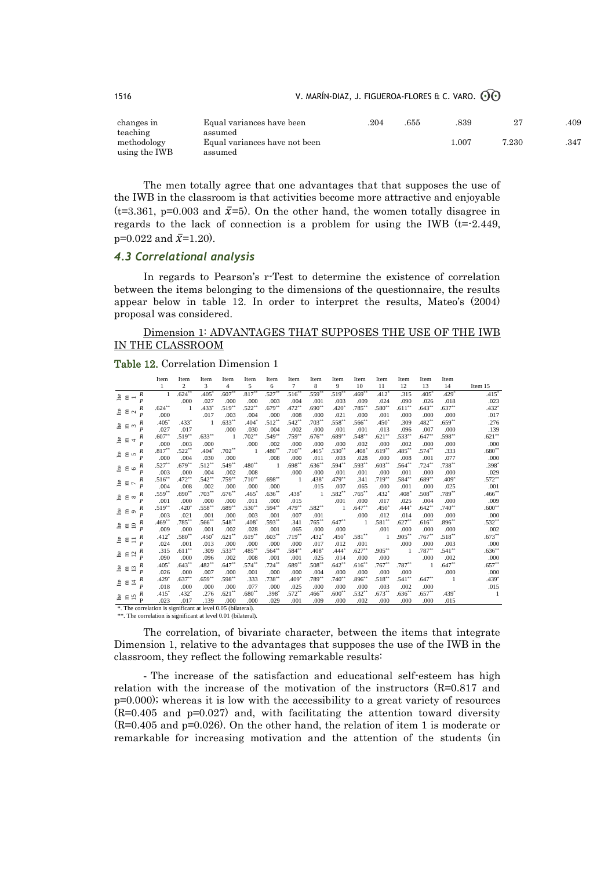| changes in    | Equal variances have been     | .204 | .655 | .839  |       | 409 |
|---------------|-------------------------------|------|------|-------|-------|-----|
| teaching      | assumed                       |      |      |       |       |     |
| methodology   | Equal variances have not been |      |      | 1.007 | 7.230 | 347 |
| using the IWB | assumed                       |      |      |       |       |     |

The men totally agree that one advantages that that supposes the use of the IWB in the classroom is that activities become more attractive and enjoyable (t=3.361, p=0.003 and  $\bar{x}$ =5). On the other hand, the women totally disagree in regards to the lack of connection is a problem for using the IWB  $(t=2.449,$  $p=0.022$  and  $\bar{x}=1.20$ ).

## *4.3 Correlational analysis*

In regards to Pearson's r-Test to determine the existence of correlation between the items belonging to the dimensions of the questionnaire, the results appear below in table 12. In order to interpret the results, Mateo's (2004) proposal was considered.

## Dimension 1: ADVANTAGES THAT SUPPOSES THE USE OF THE IWB IN THE CLASSROOM

#### Table 12. Correlation Dimension 1

|                                                              | Item                | Item           | Item        | Item                 | Item                | Item                | Item        | Item                | Item           | Item        | Item              | Item                | Item           | Item                |                   |
|--------------------------------------------------------------|---------------------|----------------|-------------|----------------------|---------------------|---------------------|-------------|---------------------|----------------|-------------|-------------------|---------------------|----------------|---------------------|-------------------|
|                                                              | 1                   | $\overline{c}$ | 3           | 4                    | 5                   | 6                   | $\tau$      | 8                   | 9              | 10          | 11                | 12                  | 13             | 14                  | Item 15           |
| $\boldsymbol{R}$<br>≗ a<br>$\overline{\phantom{0}}$          | $\mathbf{1}$        | $.624$ **      | .405        | .607                 | .817                | .527                | $.516^{**}$ | $.559^{**}$         | $.519**$       | $.469***$   | .412"             | .315                | $.405^{\circ}$ | $.429$ <sup>*</sup> | $.415*$           |
| $\overline{P}$                                               |                     | .000           | .027        | .000                 | .000                | .003                | .004        | .001                | .003           | .009        | .024              | .090                | .026           | .018                | .023              |
| R<br>Le<br>$\Xi$<br>$\sim$                                   | $.624$ **           | $\mathbf{1}$   | .433        | $.519^{**}$          | $.522$ **           | $.679^{**}$         | $.472***$   | .690 <sup>°</sup>   | .420'          | $.785***$   | $.580**$          | .611                | $.643**$       | $.637***$           | $.432*$           |
| $\boldsymbol{P}$                                             | .000                |                | .017        | .003                 | .004                | .000                | .008        | .000                | .021           | .000        | .001              | .000                | .000           | .000                | .017              |
| R<br>ី E<br>$\sim$                                           | $.405^{\circ}$      | $.433*$        | 1           | $.633^{**}$          | $.404^{\circ}$      | $.512^{**}$         | $.542**$    | $.703^{**}$         | $.558***$      | $.566^{**}$ | $.450^{\circ}$    | .309                | $.482**$       | $.659***$           | .276              |
| $\boldsymbol{P}$                                             | .027                | .017           |             | .000                 | .030                | .004                | .002        | .000                | .001           | .001        | .013              | .096                | .007           | .000                | .139              |
| $\boldsymbol{R}$<br>ឹ ៩<br>$\overline{ }$                    | .607                | $.519***$      | $.633***$   | 1                    | $.702^{**}$         | $.549^{\circ}$      | .759**      | $.676^{\circ\circ}$ | $.689**$       | $.548**$    | $.621**$          | $.533^{**}$         | $.647**$       | .598**              | $.621**$          |
| $\boldsymbol{P}$                                             | .000                | .003           | .000        |                      | .000                | .002                | .000        | .000                | .000           | .002        | .000              | .002                | .000           | .000                | .000              |
| $\boldsymbol{R}$<br>e e<br>$\sqrt{2}$                        | .817                | $.522***$      | $.404*$     | $.702$ <sup>**</sup> | $\mathbf{1}$        | $.480^{\circ}$      | $.710**$    | $.465^{\circ}$      | $.530**$       | .408°       | $.619**$          | $.485^{\circ\circ}$ | $.574**$       | .333                | $.680^{\ast\ast}$ |
| $\boldsymbol{P}$                                             | .000                | .004           | .030        | .000                 |                     | .008                | .000        | .011                | .003           | .028        | .000              | .008                | .001           | .077                | .000              |
| R<br>ិ E<br>$\circ$                                          | .527                | $.679**$       | $.512**$    | $.549^{**}$          | $.480^{\circ\circ}$ | -1                  | $.698***$   | $.636^{**}$         | $.594**$       | $.593**$    | $.603**$          | $.564^{\circ\circ}$ | $.724***$      | .738**              | $.398*$           |
| $\boldsymbol{P}$                                             | .003                | .000           | .004        | .002                 | .008                |                     | .000        | .000                | .001           | .001        | .000              | .001                | .000           | .000                | .029              |
| R<br>ើ ∈<br>$\overline{ }$                                   | $.516^{**}$         | $.472**$       | $.542**$    | $.759^{**}$          | $.710^{**}$         | $.698^{\circ\circ}$ | -1          | $.438^{\circ}$      | $.479**$       | .341        | $.719***$         | $.584^{\circ\circ}$ | $.689**$       | .409 <sup>°</sup>   | $.572***$         |
| $\boldsymbol{P}$                                             | .004                | .008           | .002        | .000                 | .000                | .000                |             | .015                | .007           | .065        | .000              | .001                | .000           | .025                | .001              |
| R<br>ី E<br>${}^{\circ}$                                     | $.559^{\circ\circ}$ | $.690**$       | $.703***$   | $.676^{**}$          | $.465*$             | $.636^{**}$         | $.438*$     | 1                   | $.582**$       | $.765***$   | .432"             | $.408*$             | $.508**$       | .789**              | $.466^{**}$       |
| $\boldsymbol{P}$                                             | .001                | .000           | .000        | .000                 | .011                | .000                | .015        |                     | .001           | .000        | .017              | .025                | .004           | .000                | .009              |
| $\boldsymbol{R}$<br>ី E<br>$\circ$                           | $.519^{**}$         | .420           | $.558^{**}$ | $.689^{**}$          | $.530^{**}$         | $.594^{\circ\circ}$ | .479**      | $.582^{**}$         | 1              | $.647**$    | .450 <sup>°</sup> | .444°               | $.642**$       | $.740**$            | $.600**$          |
| $\boldsymbol{P}$                                             | .003                | .021           | .001        | .000                 | .003                | .001                | .007        | .001                |                | .000        | .012              | .014                | .000           | .000                | .000              |
| R<br>$\overline{10}$<br>Lte<br>$\Xi$                         | .469                | $.785***$      | $.566^{**}$ | $.548^{\circ\circ}$  | $.408^{\circ}$      | $.593^{\circ\circ}$ | .341        | $.765^{\circ\circ}$ | .647           | 1           | $.581**$          | .627                | .616"          | $.896***$           | $.532**$          |
| $\overline{P}$                                               | .009                | .000           | .001        | .002                 | .028                | .001                | .065        | .000                | .000           |             | .001              | .000                | .000           | .000                | .002              |
| R<br>ើ E<br>$\equiv$                                         | .412"               | $.580**$       | $.450*$     | .621                 | .619                | $.603^{**}$         | $.719***$   | .432"               | $.450^{\circ}$ | $.581**$    | 1                 | .905                | $.767**$       | $.518***$           | $.673**$          |
| $\boldsymbol{P}$                                             | .024                | .001           | .013        | .000                 | .000                | .000                | .000        | .017                | .012           | .001        |                   | .000                | .000           | .003                | .000              |
| R<br>$\overline{c}$<br>۹Ľ<br>$\Xi$                           | .315                | $.611**$       | .309        | $.533^{**}$          | $.485^{\circ\circ}$ | $.564^{\circ\circ}$ | $.584**$    | $.408^{\circ}$      | .444"          | $.627**$    | $.905***$         | 1                   | $.787**$       | $.541***$           | $.636**$          |
| $\overline{P}$                                               | .090                | .000           | .096        | .002                 | .008                | .001                | .001        | .025                | .014           | .000        | .000              |                     | .000           | .002                | .000              |
| $\boldsymbol{R}$<br>Le<br>3<br>Ε                             | .405"               | $.643***$      | $.482**$    | .647                 | $.574^{\circ\circ}$ | $.724$ **           | $.689**$    | $.508^{\circ\circ}$ | $.642***$      | $.616**$    | $.767**$          | $.787^{\circ\circ}$ |                | $.647**$            | $.657**$          |
| $\boldsymbol{P}$                                             | .026                | .000           | .007        | .000                 | .001                | .000                | .000        | .004                | .000           | .000        | .000              | .000                |                | .000                | .000              |
| $\boldsymbol{R}$<br>$\overline{4}$<br>Ŀ٥<br>$\Xi$            | .429                | $.637**$       | .659'''     | $.598^{**}$          | .333                | .738                | $.409*$     | $.789^{**}$         | $.740**$       | $.896**$    | $.518***$         | $.541$ **           | $.647**$       | -1                  | $.439*$           |
| $\boldsymbol{P}$                                             | .018                | .000           | .000        | .000                 | .077                | .000                | .025        | .000                | .000           | .000        | .003              | .002                | .000           |                     | .015              |
| R<br>$\mathop{\text{He}}$<br>15<br>$\Xi$                     | .415"               | $.432*$        | .276        | .621                 | $.680^{\circ\circ}$ | $.398*$             | $.572***$   | $.466^{\circ}$      | $.600**$       | $.532**$    | $.673**$          | $.636^{**}$         | $.657**$       | .439°               | - 1               |
| P                                                            | .023                | .017           | .139        | .000                 | .000                | .029                | .001        | .009                | .000           | .002        | .000              | .000                | .000           | .015                |                   |
| *. The correlation is significant at level 0.05 (bilateral). |                     |                |             |                      |                     |                     |             |                     |                |             |                   |                     |                |                     |                   |

\*\*. The correlation is significant at level 0.01 (bilateral).

The correlation, of bivariate character, between the items that integrate Dimension 1, relative to the advantages that supposes the use of the IWB in the classroom, they reflect the following remarkable results:

- The increase of the satisfaction and educational self-esteem has high relation with the increase of the motivation of the instructors (R=0.817 and p=0.000); whereas it is low with the accessibility to a great variety of resources (R=0.405 and p=0.027) and, with facilitating the attention toward diversity (R=0.405 and p=0.026). On the other hand, the relation of item 1 is moderate or remarkable for increasing motivation and the attention of the students (in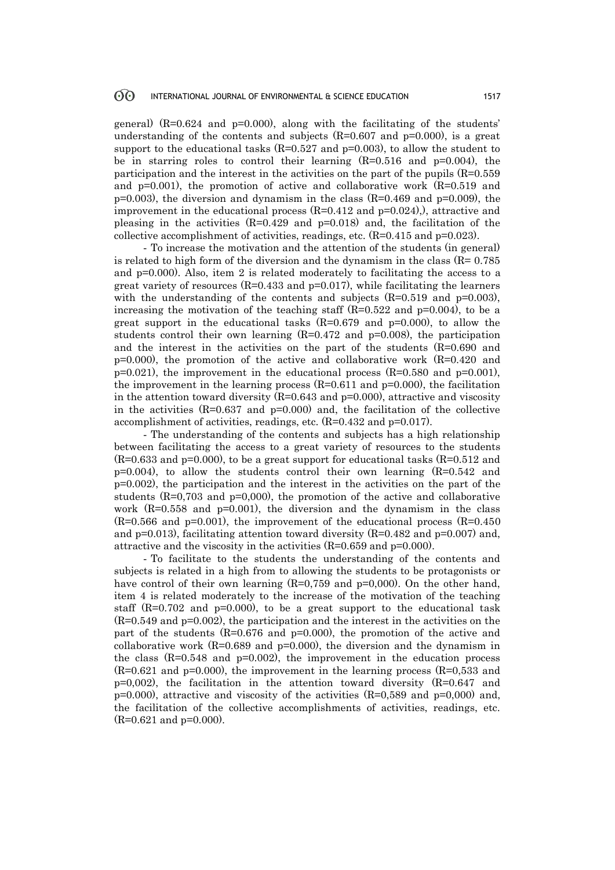#### **ගි** INTERNATIONAL JOURNAL OF ENVIRONMENTAL & SCIENCE EDUCATION 1517

general)  $(R=0.624$  and  $p=0.000$ , along with the facilitating of the students' understanding of the contents and subjects  $(R=0.607$  and  $p=0.000)$ , is a great support to the educational tasks  $(R=0.527$  and  $p=0.003$ ), to allow the student to be in starring roles to control their learning  $(R=0.516$  and  $p=0.004$ , the participation and the interest in the activities on the part of the pupils (R=0.559 and  $p=0.001$ ), the promotion of active and collaborative work  $(R=0.519$  and  $p=0.003$ , the diversion and dynamism in the class (R=0.469 and  $p=0.009$ ), the improvement in the educational process  $(R=0.412$  and  $p=0.024)$ , attractive and pleasing in the activities  $(R=0.429$  and  $p=0.018$ ) and, the facilitation of the collective accomplishment of activities, readings, etc. (R=0.415 and p=0.023).

- To increase the motivation and the attention of the students (in general) is related to high form of the diversion and the dynamism in the class ( $R = 0.785$ ) and p=0.000). Also, item 2 is related moderately to facilitating the access to a great variety of resources  $(R=0.433$  and  $p=0.017$ , while facilitating the learners with the understanding of the contents and subjects  $(R=0.519$  and  $p=0.003$ ), increasing the motivation of the teaching staff  $(R=0.522$  and  $p=0.004$ ), to be a great support in the educational tasks  $(R=0.679$  and  $p=0.000$ , to allow the students control their own learning  $(R=0.472$  and  $p=0.008)$ , the participation and the interest in the activities on the part of the students (R=0.690 and  $p=0.000$ , the promotion of the active and collaborative work  $(R=0.420$  and  $p=0.021$ , the improvement in the educational process (R=0.580 and  $p=0.001$ ), the improvement in the learning process  $(R=0.611$  and  $p=0.000$ , the facilitation in the attention toward diversity  $(R=0.643$  and  $p=0.000)$ , attractive and viscosity in the activities  $(R=0.637$  and  $p=0.000$  and, the facilitation of the collective accomplishment of activities, readings, etc. (R=0.432 and p=0.017).

- The understanding of the contents and subjects has a high relationship between facilitating the access to a great variety of resources to the students  $(R=0.633$  and  $p=0.000$ , to be a great support for educational tasks  $(R=0.512$  and  $p=0.004$ , to allow the students control their own learning  $(R=0.542$  and p=0.002), the participation and the interest in the activities on the part of the students  $(R=0,703$  and  $p=0,000$ , the promotion of the active and collaborative work (R=0.558 and p=0.001), the diversion and the dynamism in the class  $(R=0.566$  and  $p=0.001$ , the improvement of the educational process  $(R=0.450$ and  $p=0.013$ , facilitating attention toward diversity  $(R=0.482$  and  $p=0.007)$  and, attractive and the viscosity in the activities  $(R=0.659$  and  $p=0.000$ .

- To facilitate to the students the understanding of the contents and subjects is related in a high from to allowing the students to be protagonists or have control of their own learning  $(R=0,759)$  and  $p=0,000$ . On the other hand, item 4 is related moderately to the increase of the motivation of the teaching staff  $(R=0.702$  and  $p=0.000$ , to be a great support to the educational task (R=0.549 and p=0.002), the participation and the interest in the activities on the part of the students  $(R=0.676$  and  $p=0.000$ , the promotion of the active and collaborative work  $(R=0.689$  and  $p=0.000$ , the diversion and the dynamism in the class  $(R=0.548$  and  $p=0.002$ , the improvement in the education process  $(R=0.621$  and  $p=0.000$ , the improvement in the learning process  $(R=0.533$  and  $p=0,002$ , the facilitation in the attention toward diversity  $(R=0.647$  and  $p=0.000$ , attractive and viscosity of the activities  $(R=0.589$  and  $p=0.000)$  and, the facilitation of the collective accomplishments of activities, readings, etc. (R=0.621 and p=0.000).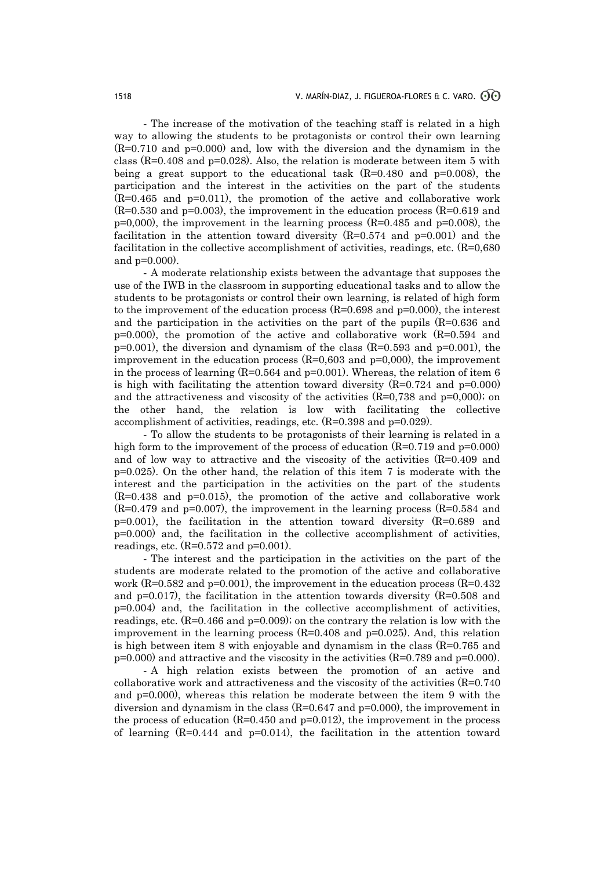- The increase of the motivation of the teaching staff is related in a high way to allowing the students to be protagonists or control their own learning (R=0.710 and p=0.000) and, low with the diversion and the dynamism in the class  $(R=0.408$  and  $p=0.028$ ). Also, the relation is moderate between item 5 with being a great support to the educational task  $(R=0.480$  and  $p=0.008)$ , the participation and the interest in the activities on the part of the students (R=0.465 and p=0.011), the promotion of the active and collaborative work  $(R=0.530$  and  $p=0.003$ , the improvement in the education process  $(R=0.619$  and  $p=0,000$ , the improvement in the learning process (R=0.485 and  $p=0.008$ ), the facilitation in the attention toward diversity  $(R=0.574$  and  $p=0.001)$  and the facilitation in the collective accomplishment of activities, readings, etc. (R=0,680 and p=0.000).

- A moderate relationship exists between the advantage that supposes the use of the IWB in the classroom in supporting educational tasks and to allow the students to be protagonists or control their own learning, is related of high form to the improvement of the education process  $(R=0.698$  and  $p=0.000$ , the interest and the participation in the activities on the part of the pupils (R=0.636 and  $p=0.000$ , the promotion of the active and collaborative work  $(R=0.594$  and  $p=0.001$ , the diversion and dynamism of the class (R=0.593 and  $p=0.001$ ), the improvement in the education process  $(R=0,603$  and  $p=0,000)$ , the improvement in the process of learning  $(R=0.564$  and  $p=0.001)$ . Whereas, the relation of item 6 is high with facilitating the attention toward diversity  $(R=0.724$  and  $p=0.000$ and the attractiveness and viscosity of the activities  $(R=0.738$  and  $p=0.000)$ ; on the other hand, the relation is low with facilitating the collective accomplishment of activities, readings, etc. (R=0.398 and p=0.029).

- To allow the students to be protagonists of their learning is related in a high form to the improvement of the process of education  $(R=0.719$  and  $p=0.000)$ and of low way to attractive and the viscosity of the activities  $(R=0.409$  and  $p=0.025$ . On the other hand, the relation of this item 7 is moderate with the interest and the participation in the activities on the part of the students  $(R=0.438$  and  $p=0.015$ , the promotion of the active and collaborative work  $(R=0.479$  and  $p=0.007$ , the improvement in the learning process  $(R=0.584$  and p=0.001), the facilitation in the attention toward diversity (R=0.689 and p=0.000) and, the facilitation in the collective accomplishment of activities, readings, etc.  $(R=0.572$  and  $p=0.001$ ).

- The interest and the participation in the activities on the part of the students are moderate related to the promotion of the active and collaborative work (R=0.582 and p=0.001), the improvement in the education process (R=0.432) and  $p=0.017$ ), the facilitation in the attention towards diversity  $(R=0.508$  and p=0.004) and, the facilitation in the collective accomplishment of activities, readings, etc.  $(R=0.466$  and  $p=0.009$ ; on the contrary the relation is low with the improvement in the learning process  $(R=0.408$  and  $p=0.025)$ . And, this relation is high between item 8 with enjoyable and dynamism in the class  $(R=0.765$  and p=0.000) and attractive and the viscosity in the activities (R=0.789 and p=0.000).

- A high relation exists between the promotion of an active and collaborative work and attractiveness and the viscosity of the activities (R=0.740 and p=0.000), whereas this relation be moderate between the item 9 with the diversion and dynamism in the class  $(R=0.647$  and  $p=0.000)$ , the improvement in the process of education  $(R=0.450 \text{ and } p=0.012)$ , the improvement in the process of learning  $(R=0.444$  and  $p=0.014$ , the facilitation in the attention toward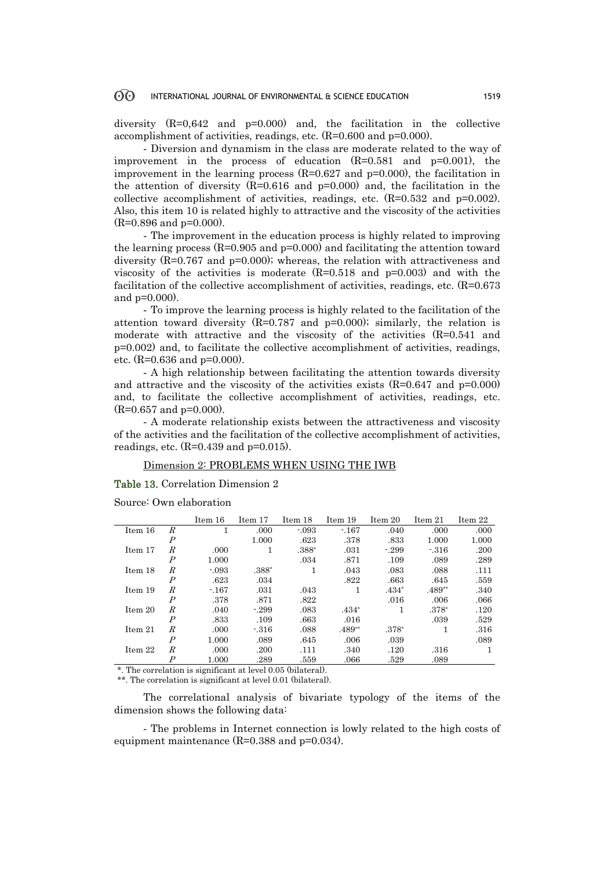#### 60 INTERNATIONAL JOURNAL OF ENVIRONMENTAL & SCIENCE EDUCATION 1519

diversity  $(R=0.642$  and  $p=0.000)$  and, the facilitation in the collective accomplishment of activities, readings, etc. (R=0.600 and p=0.000).

- Diversion and dynamism in the class are moderate related to the way of improvement in the process of education  $(R=0.581$  and  $p=0.001$ , the improvement in the learning process  $(R=0.627$  and  $p=0.000$ , the facilitation in the attention of diversity  $(R=0.616$  and  $p=0.000)$  and, the facilitation in the collective accomplishment of activities, readings, etc.  $(R=0.532$  and  $p=0.002$ . Also, this item 10 is related highly to attractive and the viscosity of the activities  $(R=0.896$  and  $p=0.000$ .

- The improvement in the education process is highly related to improving the learning process  $(R=0.905$  and  $p=0.000$  and facilitating the attention toward diversity  $(R=0.767$  and  $p=0.000)$ ; whereas, the relation with attractiveness and viscosity of the activities is moderate  $(R=0.518$  and  $p=0.003)$  and with the facilitation of the collective accomplishment of activities, readings, etc.  $(R=0.673)$ and p=0.000).

- To improve the learning process is highly related to the facilitation of the attention toward diversity  $(R=0.787$  and  $p=0.000)$ ; similarly, the relation is moderate with attractive and the viscosity of the activities  $(R=0.541$  and p=0.002) and, to facilitate the collective accomplishment of activities, readings, etc.  $(R=0.636$  and  $p=0.000$ .

- A high relationship between facilitating the attention towards diversity and attractive and the viscosity of the activities exists  $(R=0.647 \text{ and } p=0.000)$ and, to facilitate the collective accomplishment of activities, readings, etc.  $(R=0.657$  and  $p=0.000$ .

- A moderate relationship exists between the attractiveness and viscosity of the activities and the facilitation of the collective accomplishment of activities, readings, etc.  $(R=0.439 \text{ and } p=0.015)$ .

#### Dimension 2: PROBLEMS WHEN USING THE IWB

Table 13. Correlation Dimension 2

Source: Own elaboration

|         |                  | Item 16 | Item 17 | Item 18 | Item 19  | Item 20 | Item 21  | Item 22 |
|---------|------------------|---------|---------|---------|----------|---------|----------|---------|
| Item 16 | $\boldsymbol{R}$ |         | .000    | $-0.93$ | $-167$   | .040    | .000     | .000    |
|         | $\boldsymbol{P}$ |         | 1.000   | .623    | .378     | .833    | 1.000    | 1.000   |
| Item 17 | R                | .000    | л.      | $.388*$ | .031     | $-299$  | $-316$   | .200    |
|         | $\boldsymbol{P}$ | 1.000   |         | .034    | .871     | .109    | .089     | .289    |
| Item 18 | R                | $-0.93$ | $.388*$ | 1       | .043     | .083    | .088     | .111    |
|         | $\boldsymbol{P}$ | .623    | .034    |         | .822     | .663    | .645     | .559    |
| Item 19 | R                | $-167$  | .031    | .043    | 1        | $.434*$ | $.489**$ | .340    |
|         | $\overline{P}$   | .378    | .871    | .822    |          | .016    | .006     | .066    |
| Item 20 | R                | .040    | $-299$  | .083    | $.434*$  | 1       | $.378*$  | .120    |
|         | $\boldsymbol{P}$ | .833    | .109    | .663    | .016     |         | .039     | .529    |
| Item 21 | R                | .000    | $-316$  | .088    | $.489**$ | $.378*$ |          | .316    |
|         | $\boldsymbol{P}$ | 1.000   | .089    | .645    | .006     | .039    |          | .089    |
| Item 22 | R                | .000    | .200    | .111    | .340     | .120    | .316     | 1       |
|         | $\boldsymbol{P}$ | 1.000   | .289    | .559    | .066     | .529    | .089     |         |

\*. The correlation is significant at level 0.05 (bilateral).

\*\*. The correlation is significant at level 0.01 (bilateral).

The correlational analysis of bivariate typology of the items of the dimension shows the following data:

- The problems in Internet connection is lowly related to the high costs of equipment maintenance (R=0.388 and p=0.034).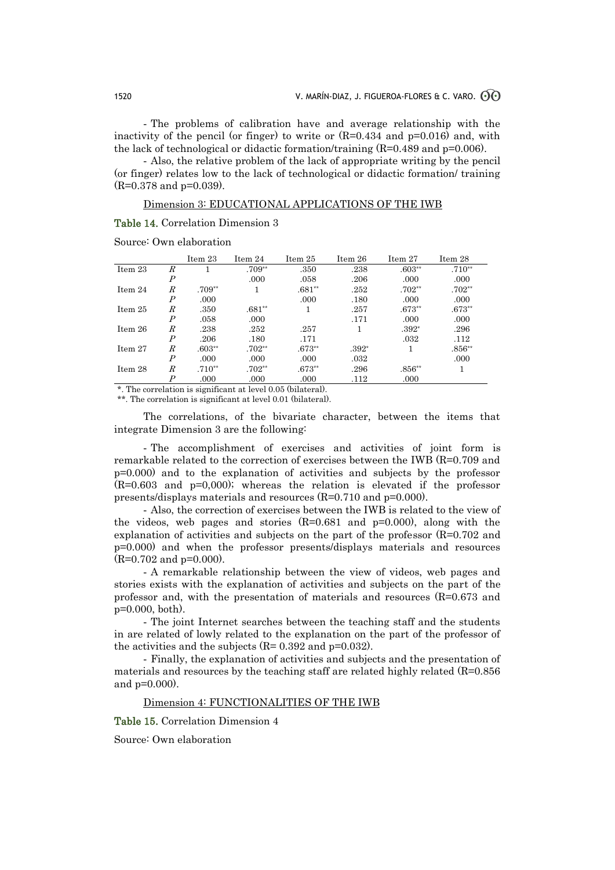- The problems of calibration have and average relationship with the inactivity of the pencil (or finger) to write or  $(R=0.434$  and  $p=0.016$ ) and, with the lack of technological or didactic formation/training (R=0.489 and p=0.006).

- Also, the relative problem of the lack of appropriate writing by the pencil (or finger) relates low to the lack of technological or didactic formation/ training (R=0.378 and p=0.039).

#### Dimension 3: EDUCATIONAL APPLICATIONS OF THE IWB

#### Table 14. Correlation Dimension 3

|           |                  | Item 23  | Item 24  | Item 25  | Item 26 | Item 27  | Item 28  |
|-----------|------------------|----------|----------|----------|---------|----------|----------|
| Item 23   | R                |          | $.709**$ | .350     | .238    | $.603**$ | $.710**$ |
|           | $\boldsymbol{P}$ |          | .000     | .058     | .206    | .000     | .000     |
| Item 24   | R                | $.709**$ |          | $.681**$ | .252    | $.702**$ | $.702**$ |
|           | $\boldsymbol{P}$ | .000     |          | .000     | .180    | .000.    | .000     |
| Item $25$ | R                | .350     | $.681**$ | 1        | .257    | $.673**$ | $.673**$ |
|           | $\boldsymbol{P}$ | .058     | .000     |          | .171    | .000     | .000     |
| Item 26   | R                | .238     | .252     | .257     |         | $.392*$  | .296     |
|           | $\boldsymbol{P}$ | .206     | .180     | .171     |         | .032     | .112     |
| Item 27   | R                | $.603**$ | $.702**$ | $.673**$ | $.392*$ |          | $.856**$ |
|           | $\boldsymbol{P}$ | .000.    | .000     | .000     | .032    |          | .000     |
| Item 28   | R                | $.710**$ | $.702**$ | $.673**$ | .296    | $.856**$ |          |
|           | P                | .000     | .000     | .000     | .112    | .000     |          |

Source: Own elaboration

\*. The correlation is significant at level 0.05 (bilateral).

\*\*. The correlation is significant at level 0.01 (bilateral).

The correlations, of the bivariate character, between the items that integrate Dimension 3 are the following:

- The accomplishment of exercises and activities of joint form is remarkable related to the correction of exercises between the IWB (R=0.709 and p=0.000) and to the explanation of activities and subjects by the professor (R=0.603 and p=0,000); whereas the relation is elevated if the professor presents/displays materials and resources (R=0.710 and p=0.000).

- Also, the correction of exercises between the IWB is related to the view of the videos, web pages and stories  $(R=0.681$  and  $p=0.000$ , along with the explanation of activities and subjects on the part of the professor  $(R=0.702$  and p=0.000) and when the professor presents/displays materials and resources (R=0.702 and p=0.000).

- A remarkable relationship between the view of videos, web pages and stories exists with the explanation of activities and subjects on the part of the professor and, with the presentation of materials and resources  $(R=0.673$  and p=0.000, both).

- The joint Internet searches between the teaching staff and the students in are related of lowly related to the explanation on the part of the professor of the activities and the subjects  $(R= 0.392 \text{ and } p=0.032)$ .

- Finally, the explanation of activities and subjects and the presentation of materials and resources by the teaching staff are related highly related (R=0.856 and p=0.000).

#### Dimension 4: FUNCTIONALITIES OF THE IWB

Table 15. Correlation Dimension 4

Source: Own elaboration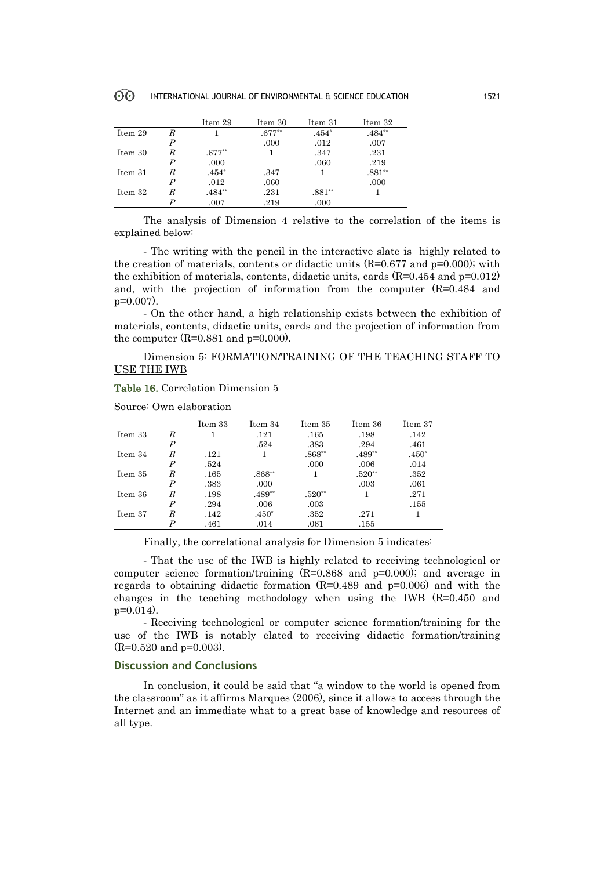|         |   | Item 29  | Item 30  | Item 31  | Item 32  |
|---------|---|----------|----------|----------|----------|
| Item 29 | R |          | $.677**$ | $.454*$  | $.484**$ |
|         | P |          | .000     | .012     | .007     |
| Item 30 | R | $.677**$ |          | .347     | .231     |
|         | P | .000     |          | .060     | .219     |
| Item 31 | R | $.454*$  | .347     |          | $.881**$ |
|         | P | .012     | .060     |          | .000     |
| Item 32 | R | $.484**$ | .231     | $.881**$ |          |
|         |   | .007     | .219     | .000     |          |

The analysis of Dimension 4 relative to the correlation of the items is explained below:

- The writing with the pencil in the interactive slate is highly related to the creation of materials, contents or didactic units  $(R=0.677$  and  $p=0.000)$ ; with the exhibition of materials, contents, didactic units, cards (R=0.454 and p=0.012) and, with the projection of information from the computer  $(R=0.484$  and p=0.007).

- On the other hand, a high relationship exists between the exhibition of materials, contents, didactic units, cards and the projection of information from the computer  $(R=0.881$  and  $p=0.000$ .

### Dimension 5: FORMATION/TRAINING OF THE TEACHING STAFF TO USE THE IWB

#### Table 16. Correlation Dimension 5

Source: Own elaboration

|         |                  | Item 33 | Item 34  | Item 35  | Item 36  | Item 37 |
|---------|------------------|---------|----------|----------|----------|---------|
| Item 33 | R                | 1       | .121     | .165     | .198     | .142    |
|         | $\boldsymbol{P}$ |         | .524     | .383     | .294     | .461    |
| Item 34 | R                | .121    |          | $.868**$ | $.489**$ | $.450*$ |
|         | $\boldsymbol{P}$ | .524    |          | .000     | .006     | .014    |
| Item 35 | R                | .165    | $.868**$ |          | $.520**$ | .352    |
|         | $\boldsymbol{P}$ | .383    | .000     |          | .003     | .061    |
| Item 36 | R                | .198    | $.489**$ | $.520**$ |          | .271    |
|         | $\boldsymbol{P}$ | .294    | .006     | .003     |          | .155    |
| Item 37 | R                | .142    | $.450*$  | .352     | .271     |         |
|         | P                | .461    | .014     | .061     | .155     |         |

Finally, the correlational analysis for Dimension 5 indicates:

- That the use of the IWB is highly related to receiving technological or computer science formation/training  $(R=0.868$  and  $p=0.000)$ ; and average in regards to obtaining didactic formation  $(R=0.489$  and  $p=0.006$  and with the changes in the teaching methodology when using the IWB  $(R=0.450$  and  $p=0.014$ ).

- Receiving technological or computer science formation/training for the use of the IWB is notably elated to receiving didactic formation/training (R=0.520 and p=0.003).

#### **Discussion and Conclusions**

In conclusion, it could be said that "a window to the world is opened from the classroom" as it affirms Marques (2006), since it allows to access through the Internet and an immediate what to a great base of knowledge and resources of all type.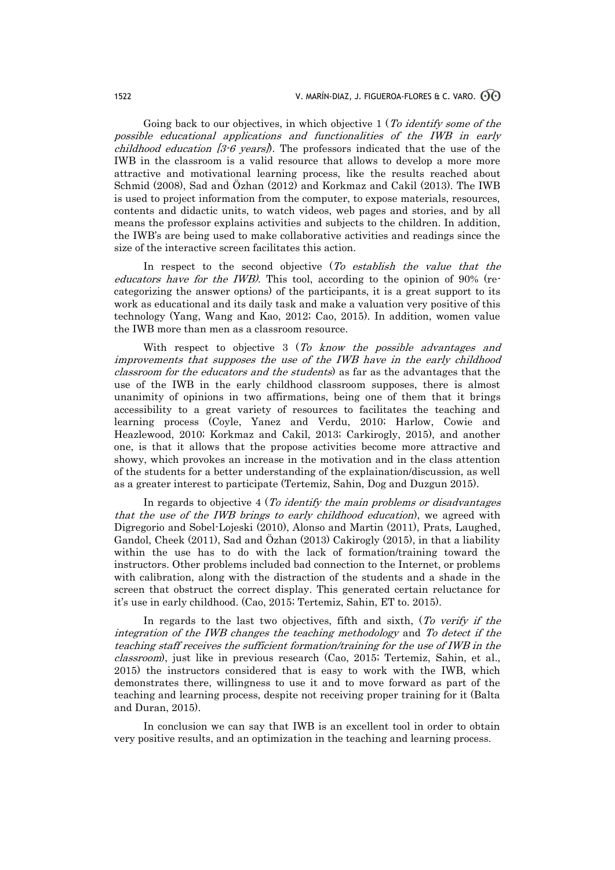Going back to our objectives, in which objective 1 (To identify some of the possible educational applications and functionalities of the IWB in early childhood education  $[3.6 \text{ years}]$ . The professors indicated that the use of the IWB in the classroom is a valid resource that allows to develop a more more attractive and motivational learning process, like the results reached about Schmid (2008), Sad and Özhan (2012) and Korkmaz and Cakil (2013). The IWB is used to project information from the computer, to expose materials, resources, contents and didactic units, to watch videos, web pages and stories, and by all means the professor explains activities and subjects to the children. In addition, the IWB's are being used to make collaborative activities and readings since the size of the interactive screen facilitates this action.

In respect to the second objective (To establish the value that the educators have for the IWB). This tool, according to the opinion of 90% (recategorizing the answer options) of the participants, it is a great support to its work as educational and its daily task and make a valuation very positive of this technology (Yang, Wang and Kao, 2012; Cao, 2015). In addition, women value the IWB more than men as a classroom resource.

With respect to objective 3 (To know the possible advantages and improvements that supposes the use of the IWB have in the early childhood classroom for the educators and the students) as far as the advantages that the use of the IWB in the early childhood classroom supposes, there is almost unanimity of opinions in two affirmations, being one of them that it brings accessibility to a great variety of resources to facilitates the teaching and learning process (Coyle, Yanez and Verdu, 2010; Harlow, Cowie and Heazlewood, 2010; Korkmaz and Cakil, 2013; Carkirogly, 2015), and another one, is that it allows that the propose activities become more attractive and showy, which provokes an increase in the motivation and in the class attention of the students for a better understanding of the explaination/discussion, as well as a greater interest to participate (Tertemiz, Sahin, Dog and Duzgun 2015).

In regards to objective 4 (To identify the main problems or disadvantages that the use of the IWB brings to early childhood education), we agreed with Digregorio and Sobel-Lojeski (2010), Alonso and Martin (2011), Prats, Laughed, Gandol, Cheek (2011), Sad and Özhan (2013) Cakirogly (2015), in that a liability within the use has to do with the lack of formation/training toward the instructors. Other problems included bad connection to the Internet, or problems with calibration, along with the distraction of the students and a shade in the screen that obstruct the correct display. This generated certain reluctance for it's use in early childhood. (Cao, 2015; Tertemiz, Sahin, ET to. 2015).

In regards to the last two objectives, fifth and sixth, (To verify if the integration of the IWB changes the teaching methodology and To detect if the teaching staff receives the sufficient formation/training for the use of IWB in the classroom), just like in previous research (Cao, 2015; Tertemiz, Sahin, et al., 2015) the instructors considered that is easy to work with the IWB, which demonstrates there, willingness to use it and to move forward as part of the teaching and learning process, despite not receiving proper training for it (Balta and Duran, 2015).

In conclusion we can say that IWB is an excellent tool in order to obtain very positive results, and an optimization in the teaching and learning process.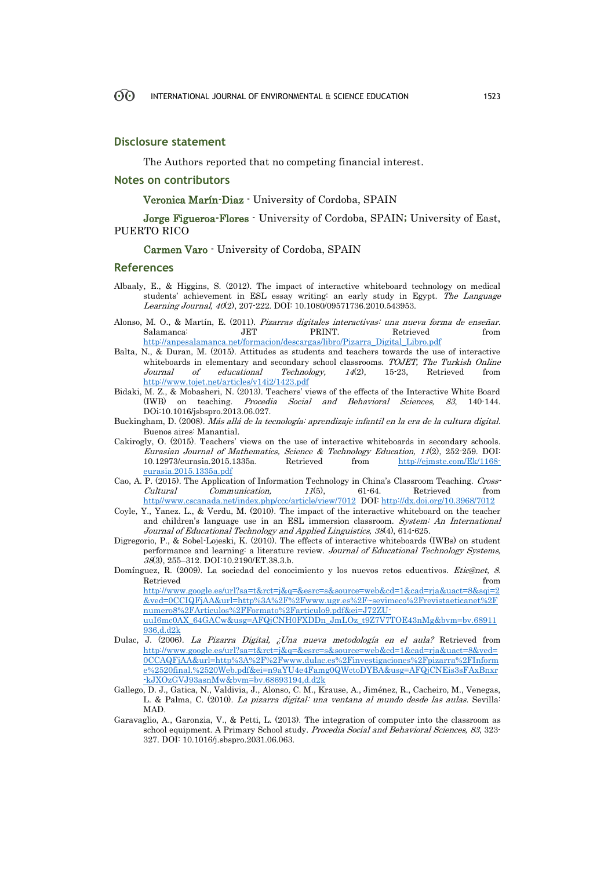#### **Disclosure statement**

The Authors reported that no competing financial interest.

#### **Notes on contributors**

Veronica Marín-Diaz - University of Cordoba, SPAIN

Jorge Figueroa-Flores - University of Cordoba, SPAIN; University of East, PUERTO RICO

Carmen Varo - University of Cordoba, SPAIN

#### **References**

- Albaaly, E., & Higgins, S. (2012). The impact of interactive whiteboard technology on medical students' achievement in ESL essay writing: an early study in Egypt. The Language Learning Journal, 40(2), 207-222. DOI: 10.1080/09571736.2010.543953.
- Alonso, M. O., & Martín, E. (2011). Pizarras digitales interactivas: una nueva forma de enseñar. Salamanca: JET PRINT. Retrieved from [http://anpesalamanca.net/formacion/descargas/libro/Pizarra\\_Digital\\_Libro.pdf](http://anpesalamanca.net/formacion/descargas/libro/Pizarra_Digital_Libro.pdf)
- Balta, N., & Duran, M. (2015). Attitudes as students and teachers towards the use of interactive whiteboards in elementary and secondary school classrooms. TOJET, The Turkish Online Journal of educational Technology, 14(2), 15-23, Retrieved from <http://www.tojet.net/articles/v14i2/1423.pdf>
- Bidaki, M. Z., & Mobasheri, N. (2013). Teachers' views of the effects of the Interactive White Board (IWB) on teaching. Procedia Social and Behavioral Sciences, 83, 140-144. DOi:10.1016/jsbspro.2013.06.027.
- Buckingham, D. (2008). Más allá de la tecnología: aprendizaje infantil en la era de la cultura digital. Buenos aires: Manantial.
- Cakirogly, O. (2015). Teachers' views on the use of interactive whiteboards in secondary schools. Eurasian Journal of Mathematics, Science & Technology Education, 11(2), 252-259. DOI: 10.12973/eurasia.2015.1335a. Retrieved from [http://ejmste.com/Ek/1168](http://ejmste.com/Ek/1168-eurasia.2015.1335a.pdf) [eurasia.2015.1335a.pdf](http://ejmste.com/Ek/1168-eurasia.2015.1335a.pdf)
- Cao, A. P. (2015). The Application of Information Technology in China's Classroom Teaching. Cross-Cultural Communication, 11(5), 61-64. Retrieved from http//www.cscanada.net/index.php/ccc/article/view/7012 DOI[: http://dx.doi.org/10.3968/7012](http://dx.doi.org/10.3968/7012)
- Coyle, Y., Yanez. L., & Verdu, M. (2010). The impact of the interactive whiteboard on the teacher and children's language use in an ESL immersion classroom. System: An International Journal of Educational Technology and Applied Linguistics, 38(4), 614-625.
- Digregorio, P., & Sobel-Lojeski, K. (2010). The effects of interactive whiteboards (IWBs) on student performance and learning: a literature review. Journal of Educational Technology Systems, 38(3), 255–312. DOI:10.2190/ET.38.3.b.
- Domínguez, R. (2009). La sociedad del conocimiento y los nuevos retos educativos. Etic@net, 8. Retrieved from the state of the state of the state of the state of the state of the state of the state of the state of the state of the state of the state of the state of the state of the state of the state of the state of [http://www.google.es/url?sa=t&rct=j&q=&esrc=s&source=web&cd=1&cad=rja&uact=8&sqi=2](http://www.google.es/url?sa=t&rct=j&q=&esrc=s&source=web&cd=1&cad=rja&uact=8&sqi=2&ved=0CCIQFjAA&url=http%3A%2F%2Fwww.ugr.es%2F~sevimeco%2Frevistaeticanet%2Fnumero8%2FArticulos%2FFormato%2Farticulo9.pdf&ei=J72ZU-uuI6mc0AX_64GACw&usg=AFQjCNH0FXDDn_JmLOz_t9Z7V7TOE43nMg&bvm=bv.68911936,d.d2k) [&ved=0CCIQFjAA&url=http%3A%2F%2Fwww.ugr.es%2F~sevimeco%2Frevistaeticanet%2F](http://www.google.es/url?sa=t&rct=j&q=&esrc=s&source=web&cd=1&cad=rja&uact=8&sqi=2&ved=0CCIQFjAA&url=http%3A%2F%2Fwww.ugr.es%2F~sevimeco%2Frevistaeticanet%2Fnumero8%2FArticulos%2FFormato%2Farticulo9.pdf&ei=J72ZU-uuI6mc0AX_64GACw&usg=AFQjCNH0FXDDn_JmLOz_t9Z7V7TOE43nMg&bvm=bv.68911936,d.d2k)

[numero8%2FArticulos%2FFormato%2Farticulo9.pdf&ei=J72ZU](http://www.google.es/url?sa=t&rct=j&q=&esrc=s&source=web&cd=1&cad=rja&uact=8&sqi=2&ved=0CCIQFjAA&url=http%3A%2F%2Fwww.ugr.es%2F~sevimeco%2Frevistaeticanet%2Fnumero8%2FArticulos%2FFormato%2Farticulo9.pdf&ei=J72ZU-uuI6mc0AX_64GACw&usg=AFQjCNH0FXDDn_JmLOz_t9Z7V7TOE43nMg&bvm=bv.68911936,d.d2k)[uuI6mc0AX\\_64GACw&usg=AFQjCNH0FXDDn\\_JmLOz\\_t9Z7V7TOE43nMg&bvm=bv.68911](http://www.google.es/url?sa=t&rct=j&q=&esrc=s&source=web&cd=1&cad=rja&uact=8&sqi=2&ved=0CCIQFjAA&url=http%3A%2F%2Fwww.ugr.es%2F~sevimeco%2Frevistaeticanet%2Fnumero8%2FArticulos%2FFormato%2Farticulo9.pdf&ei=J72ZU-uuI6mc0AX_64GACw&usg=AFQjCNH0FXDDn_JmLOz_t9Z7V7TOE43nMg&bvm=bv.68911936,d.d2k) [936,d.d2k](http://www.google.es/url?sa=t&rct=j&q=&esrc=s&source=web&cd=1&cad=rja&uact=8&sqi=2&ved=0CCIQFjAA&url=http%3A%2F%2Fwww.ugr.es%2F~sevimeco%2Frevistaeticanet%2Fnumero8%2FArticulos%2FFormato%2Farticulo9.pdf&ei=J72ZU-uuI6mc0AX_64GACw&usg=AFQjCNH0FXDDn_JmLOz_t9Z7V7TOE43nMg&bvm=bv.68911936,d.d2k)

- Dulac, J. (2006). La Pizarra Digital, ¿Una nueva metodología en el aula? Retrieved from [http://www.google.es/url?sa=t&rct=j&q=&esrc=s&source=web&cd=1&cad=rja&uact=8&ved=](http://www.google.es/url?sa=t&rct=j&q=&esrc=s&source=web&cd=1&cad=rja&uact=8&ved=0CCAQFjAA&url=http%3A%2F%2Fwww.dulac.es%2Finvestigaciones%2Fpizarra%2FInforme%2520final.%2520Web.pdf&ei=n9aYU4e4Famg0QWctoDYBA&usg=AFQjCNEis3sFAxBnxr-kJXOzGVJ93asnMw&bvm=bv.68693194,d.d2k) [0CCAQFjAA&url=http%3A%2F%2Fwww.dulac.es%2Finvestigaciones%2Fpizarra%2FInform](http://www.google.es/url?sa=t&rct=j&q=&esrc=s&source=web&cd=1&cad=rja&uact=8&ved=0CCAQFjAA&url=http%3A%2F%2Fwww.dulac.es%2Finvestigaciones%2Fpizarra%2FInforme%2520final.%2520Web.pdf&ei=n9aYU4e4Famg0QWctoDYBA&usg=AFQjCNEis3sFAxBnxr-kJXOzGVJ93asnMw&bvm=bv.68693194,d.d2k) [e%2520final.%2520Web.pdf&ei=n9aYU4e4Famg0QWctoDYBA&usg=AFQjCNEis3sFAxBnxr](http://www.google.es/url?sa=t&rct=j&q=&esrc=s&source=web&cd=1&cad=rja&uact=8&ved=0CCAQFjAA&url=http%3A%2F%2Fwww.dulac.es%2Finvestigaciones%2Fpizarra%2FInforme%2520final.%2520Web.pdf&ei=n9aYU4e4Famg0QWctoDYBA&usg=AFQjCNEis3sFAxBnxr-kJXOzGVJ93asnMw&bvm=bv.68693194,d.d2k) [-kJXOzGVJ93asnMw&bvm=bv.68693194,d.d2k](http://www.google.es/url?sa=t&rct=j&q=&esrc=s&source=web&cd=1&cad=rja&uact=8&ved=0CCAQFjAA&url=http%3A%2F%2Fwww.dulac.es%2Finvestigaciones%2Fpizarra%2FInforme%2520final.%2520Web.pdf&ei=n9aYU4e4Famg0QWctoDYBA&usg=AFQjCNEis3sFAxBnxr-kJXOzGVJ93asnMw&bvm=bv.68693194,d.d2k)
- Gallego, D. J., Gatica, N., Valdivia, J., Alonso, C. M., Krause, A., Jiménez, R., Cacheiro, M., Venegas, L. & Palma, C. (2010). La pizarra digital: una ventana al mundo desde las aulas. Sevilla: MAD.
- Garavaglio, A., Garonzia, V., & Petti, L. (2013). The integration of computer into the classroom as school equipment. A Primary School study. Procedia Social and Behavioral Sciences, 83, 323-327. DOI: 10.1016/j.sbspro.2031.06.063.